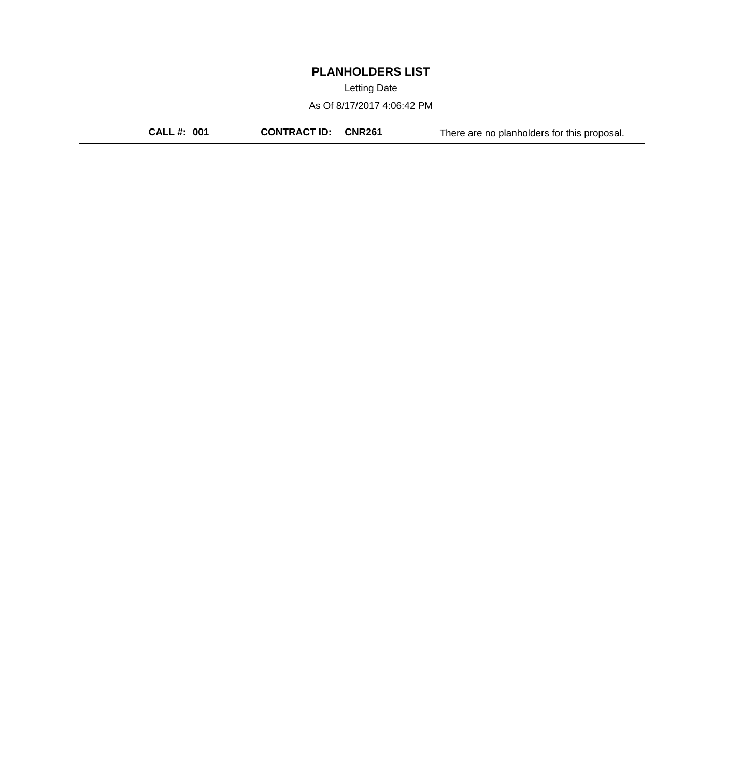Letting Date

As Of 8/17/2017 4:06:42 PM

**CALL #: 001 CONTRACT ID: CNR261** There are no planholders for this proposal.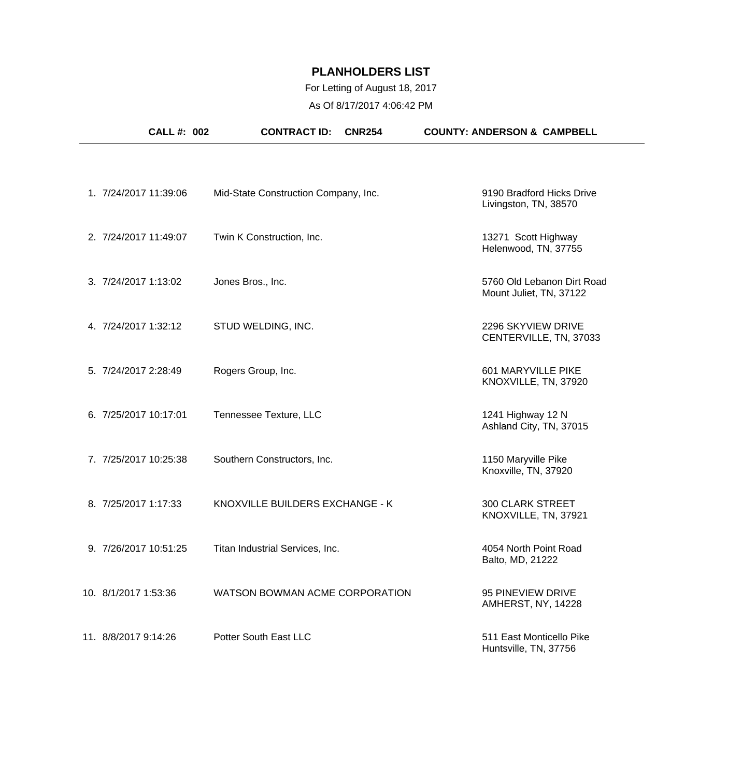# For Letting of August 18, 2017

As Of 8/17/2017 4:06:42 PM

|                       | <b>CALL #: 002</b> | <b>CONTRACT ID:</b>                  | <b>CNR254</b> | <b>COUNTY: ANDERSON &amp; CAMPBELL</b>                |  |
|-----------------------|--------------------|--------------------------------------|---------------|-------------------------------------------------------|--|
|                       |                    |                                      |               |                                                       |  |
| 1. 7/24/2017 11:39:06 |                    | Mid-State Construction Company, Inc. |               | 9190 Bradford Hicks Drive<br>Livingston, TN, 38570    |  |
| 2. 7/24/2017 11:49:07 |                    | Twin K Construction, Inc.            |               | 13271 Scott Highway<br>Helenwood, TN, 37755           |  |
| 3. 7/24/2017 1:13:02  |                    | Jones Bros., Inc.                    |               | 5760 Old Lebanon Dirt Road<br>Mount Juliet, TN, 37122 |  |
| 4. 7/24/2017 1:32:12  |                    | STUD WELDING, INC.                   |               | 2296 SKYVIEW DRIVE<br>CENTERVILLE, TN, 37033          |  |
| 5. 7/24/2017 2:28:49  |                    | Rogers Group, Inc.                   |               | 601 MARYVILLE PIKE<br>KNOXVILLE, TN, 37920            |  |
| 6. 7/25/2017 10:17:01 |                    | Tennessee Texture, LLC               |               | 1241 Highway 12 N<br>Ashland City, TN, 37015          |  |
| 7. 7/25/2017 10:25:38 |                    | Southern Constructors, Inc.          |               | 1150 Maryville Pike<br>Knoxville, TN, 37920           |  |
| 8. 7/25/2017 1:17:33  |                    | KNOXVILLE BUILDERS EXCHANGE - K      |               | <b>300 CLARK STREET</b><br>KNOXVILLE, TN, 37921       |  |
| 9. 7/26/2017 10:51:25 |                    | Titan Industrial Services, Inc.      |               | 4054 North Point Road<br>Balto, MD, 21222             |  |
| 10. 8/1/2017 1:53:36  |                    | WATSON BOWMAN ACME CORPORATION       |               | 95 PINEVIEW DRIVE<br>AMHERST, NY, 14228               |  |
| 11. 8/8/2017 9:14:26  |                    | Potter South East LLC                |               | 511 East Monticello Pike<br>Huntsville, TN, 37756     |  |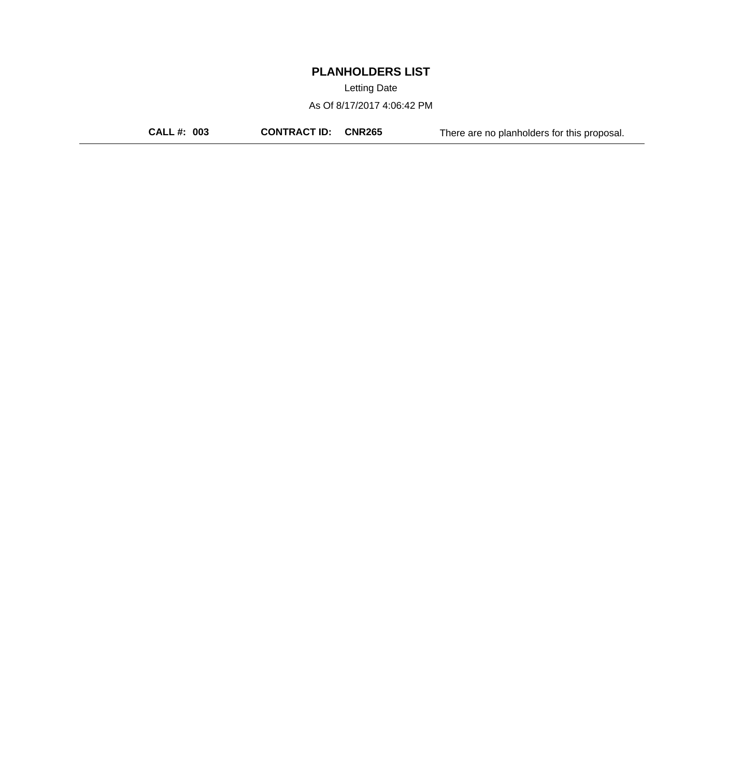Letting Date

As Of 8/17/2017 4:06:42 PM

**CALL #: 003 CONTRACT ID: CNR265** There are no planholders for this proposal.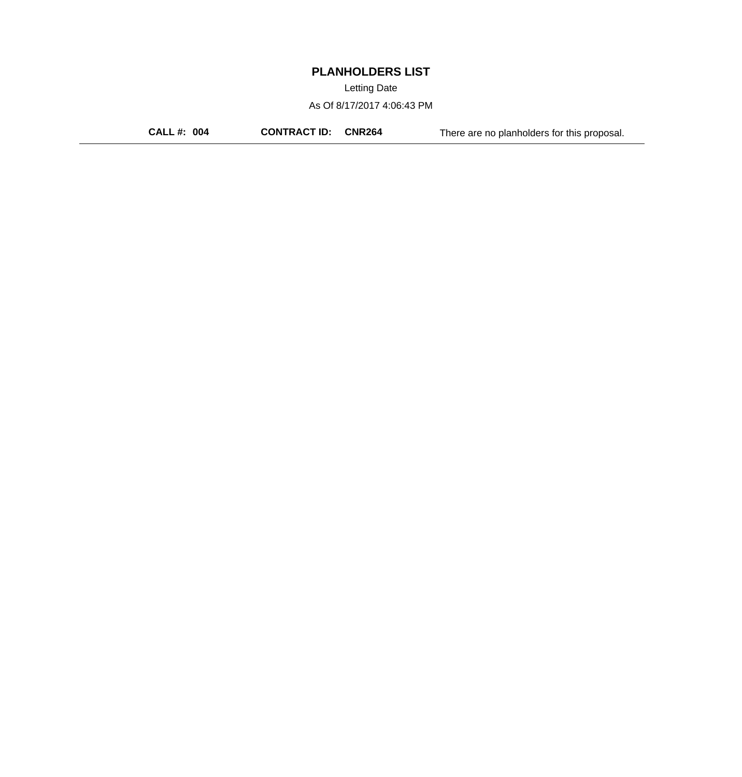Letting Date

As Of 8/17/2017 4:06:43 PM

**CALL #: 004 CONTRACT ID: CNR264** There are no planholders for this proposal.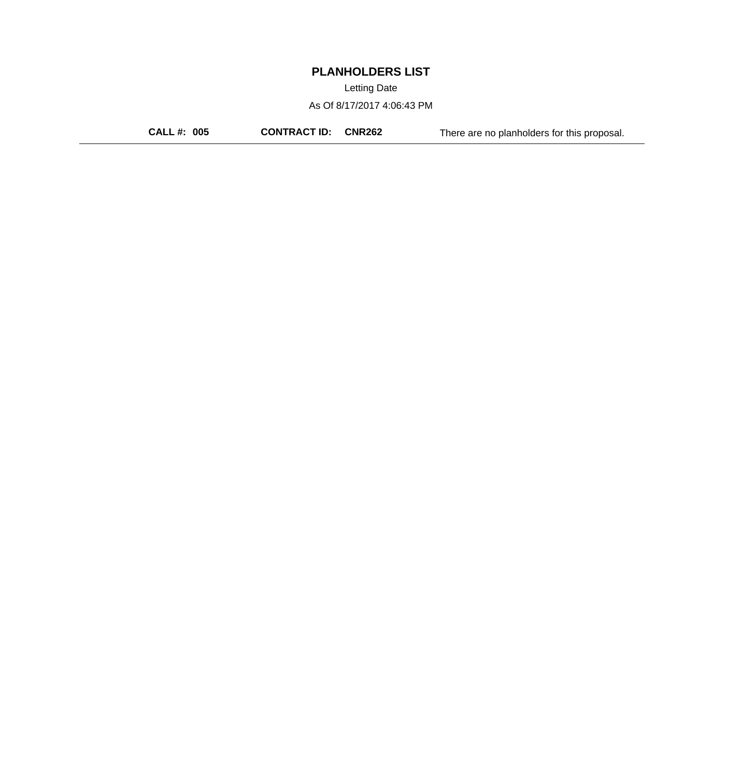Letting Date

As Of 8/17/2017 4:06:43 PM

**CALL #: 005 CONTRACT ID: CNR262** There are no planholders for this proposal.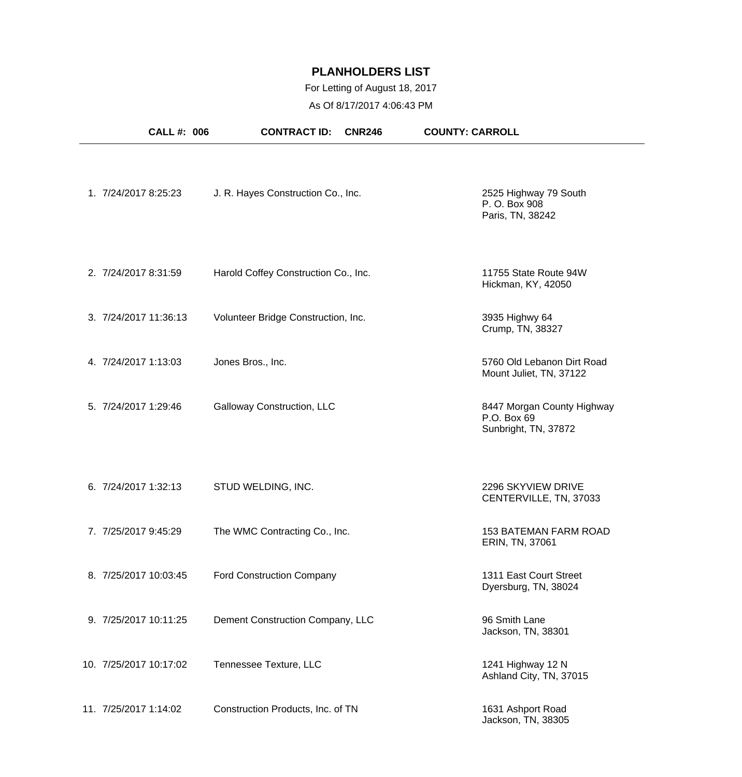## For Letting of August 18, 2017

As Of 8/17/2017 4:06:43 PM

| <b>CALL#: 006</b>      | <b>CONTRACT ID:</b>                  | <b>CNR246</b> | <b>COUNTY: CARROLL</b>                                            |
|------------------------|--------------------------------------|---------------|-------------------------------------------------------------------|
| 1. 7/24/2017 8:25:23   | J. R. Hayes Construction Co., Inc.   |               | 2525 Highway 79 South<br>P. O. Box 908<br>Paris, TN, 38242        |
| 2. 7/24/2017 8:31:59   | Harold Coffey Construction Co., Inc. |               | 11755 State Route 94W<br>Hickman, KY, 42050                       |
| 3. 7/24/2017 11:36:13  | Volunteer Bridge Construction, Inc.  |               | 3935 Highwy 64<br>Crump, TN, 38327                                |
| 4. 7/24/2017 1:13:03   | Jones Bros., Inc.                    |               | 5760 Old Lebanon Dirt Road<br>Mount Juliet, TN, 37122             |
| 5. 7/24/2017 1:29:46   | Galloway Construction, LLC           |               | 8447 Morgan County Highway<br>P.O. Box 69<br>Sunbright, TN, 37872 |
| 6. 7/24/2017 1:32:13   | STUD WELDING, INC.                   |               | 2296 SKYVIEW DRIVE<br>CENTERVILLE, TN, 37033                      |
| 7. 7/25/2017 9:45:29   | The WMC Contracting Co., Inc.        |               | 153 BATEMAN FARM ROAD<br>ERIN, TN, 37061                          |
| 8. 7/25/2017 10:03:45  | <b>Ford Construction Company</b>     |               | 1311 East Court Street<br>Dyersburg, TN, 38024                    |
| 9. 7/25/2017 10:11:25  | Dement Construction Company, LLC     |               | 96 Smith Lane<br>Jackson, TN, 38301                               |
| 10. 7/25/2017 10:17:02 | Tennessee Texture, LLC               |               | 1241 Highway 12 N<br>Ashland City, TN, 37015                      |
| 11. 7/25/2017 1:14:02  | Construction Products, Inc. of TN    |               | 1631 Ashport Road<br>Jackson, TN, 38305                           |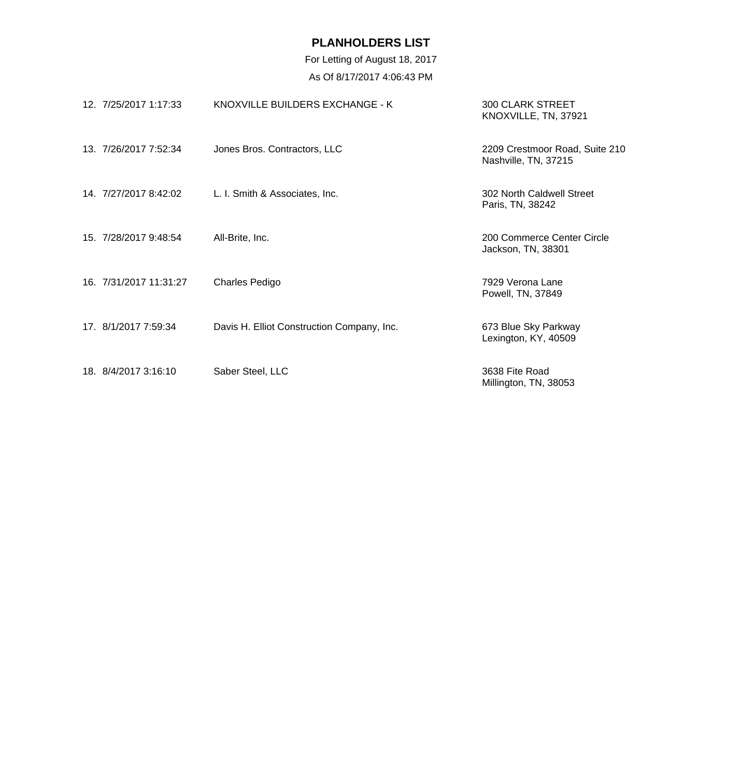| 12. 7/25/2017 1:17:33  | KNOXVILLE BUILDERS EXCHANGE - K            | <b>300 CLARK STREET</b><br>KNOXVILLE, TN, 37921        |
|------------------------|--------------------------------------------|--------------------------------------------------------|
| 13. 7/26/2017 7:52:34  | Jones Bros. Contractors, LLC               | 2209 Crestmoor Road, Suite 210<br>Nashville, TN, 37215 |
| 14. 7/27/2017 8:42:02  | L. I. Smith & Associates, Inc.             | 302 North Caldwell Street<br>Paris, TN, 38242          |
| 15. 7/28/2017 9:48:54  | All-Brite, Inc.                            | 200 Commerce Center Circle<br>Jackson, TN, 38301       |
| 16. 7/31/2017 11:31:27 | Charles Pedigo                             | 7929 Verona Lane<br>Powell, TN, 37849                  |
| 17. 8/1/2017 7:59:34   | Davis H. Elliot Construction Company, Inc. | 673 Blue Sky Parkway<br>Lexington, KY, 40509           |
| 18. 8/4/2017 3:16:10   | Saber Steel, LLC                           | 3638 Fite Road<br>Millington, TN, 38053                |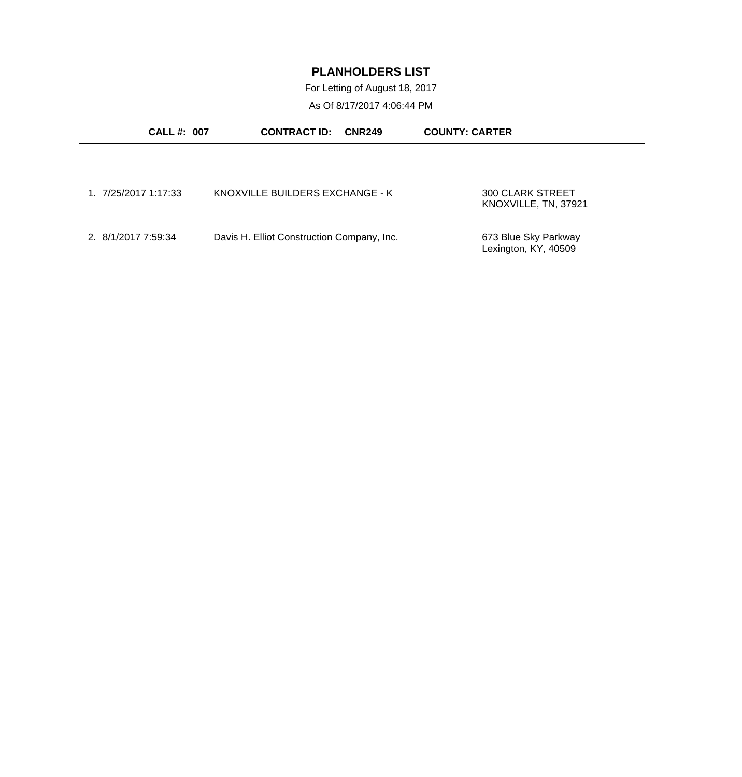For Letting of August 18, 2017

As Of 8/17/2017 4:06:44 PM

| <b>CALL #: 007</b>   | <b>CONTRACT ID:</b><br><b>CNR249</b>       | <b>COUNTY: CARTER</b>                           |
|----------------------|--------------------------------------------|-------------------------------------------------|
|                      |                                            |                                                 |
|                      |                                            |                                                 |
| 1. 7/25/2017 1:17:33 | KNOXVILLE BUILDERS EXCHANGE - K            | <b>300 CLARK STREET</b><br>KNOXVILLE, TN, 37921 |
|                      |                                            |                                                 |
| 2. 8/1/2017 7:59:34  | Davis H. Elliot Construction Company, Inc. | 673 Blue Sky Parkway<br>Lexington, KY, 40509    |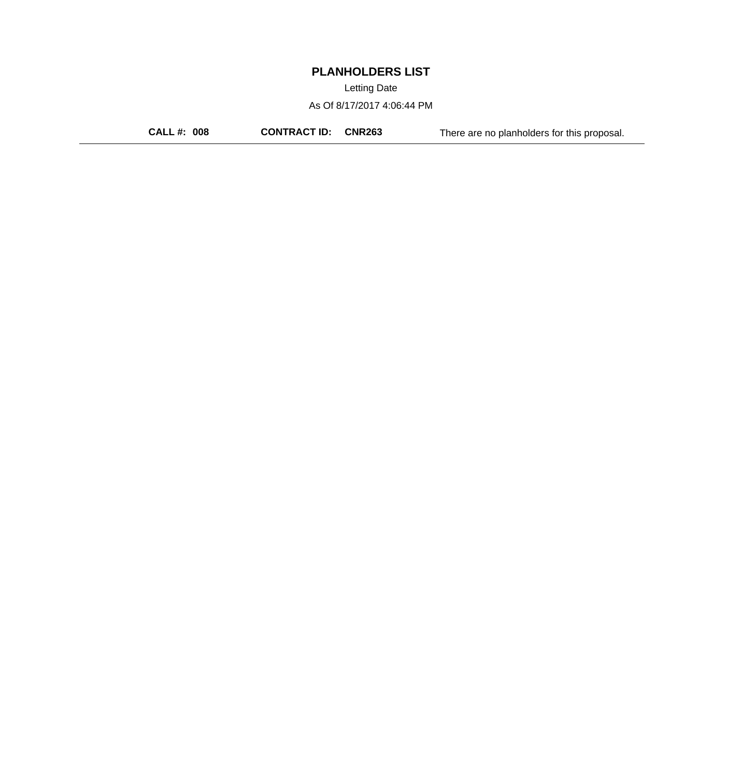Letting Date

As Of 8/17/2017 4:06:44 PM

**CALL #: 008 CONTRACT ID: CNR263** There are no planholders for this proposal.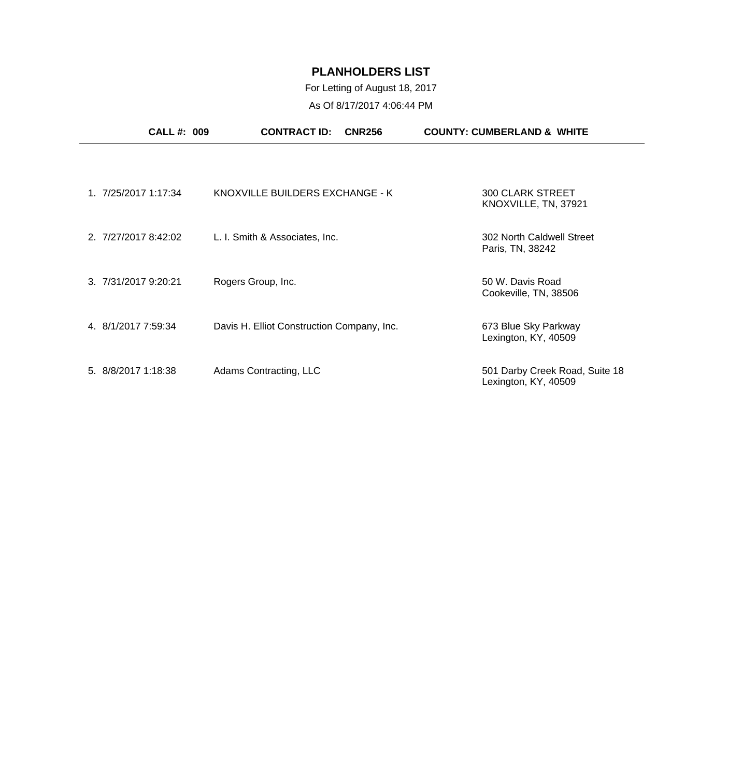| <b>CALL #: 009</b>   | <b>CONTRACT ID:</b><br><b>CNR256</b>       | <b>COUNTY: CUMBERLAND &amp; WHITE</b>                  |
|----------------------|--------------------------------------------|--------------------------------------------------------|
|                      |                                            |                                                        |
| 1. 7/25/2017 1:17:34 | KNOXVILLE BUILDERS EXCHANGE - K            | <b>300 CLARK STREET</b><br>KNOXVILLE, TN, 37921        |
| 2. 7/27/2017 8:42:02 | L. I. Smith & Associates, Inc.             | 302 North Caldwell Street<br>Paris, TN, 38242          |
| 3. 7/31/2017 9:20:21 | Rogers Group, Inc.                         | 50 W. Davis Road<br>Cookeville, TN, 38506              |
| 4. 8/1/2017 7:59:34  | Davis H. Elliot Construction Company, Inc. | 673 Blue Sky Parkway<br>Lexington, KY, 40509           |
| 5. 8/8/2017 1:18:38  | Adams Contracting, LLC                     | 501 Darby Creek Road, Suite 18<br>Lexington, KY, 40509 |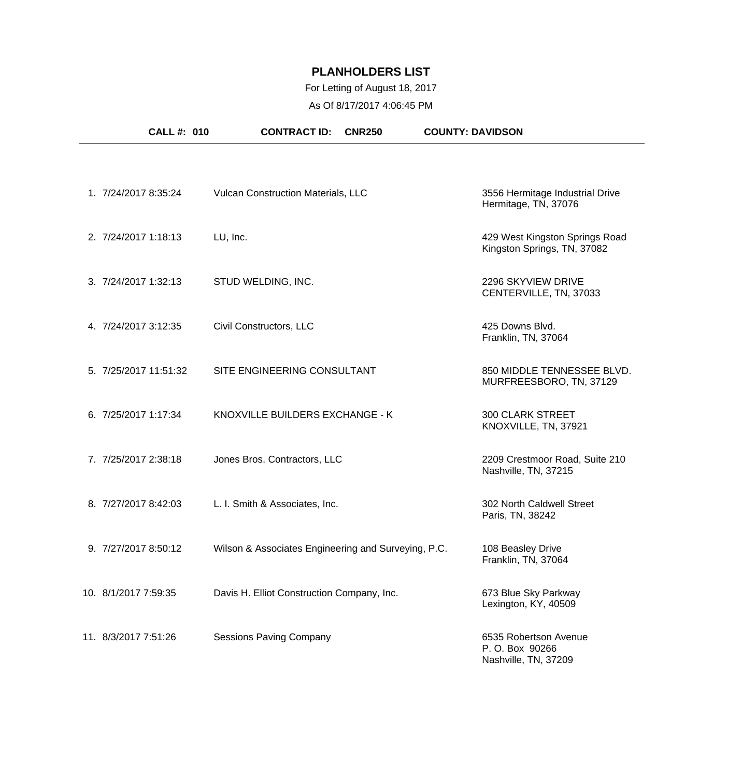## For Letting of August 18, 2017

As Of 8/17/2017 4:06:45 PM

| <b>CALL #: 010</b>    | <b>CONTRACT ID:</b><br><b>CNR250</b>                | <b>COUNTY: DAVIDSON</b>                                         |
|-----------------------|-----------------------------------------------------|-----------------------------------------------------------------|
|                       |                                                     |                                                                 |
| 1. 7/24/2017 8:35:24  | Vulcan Construction Materials, LLC                  | 3556 Hermitage Industrial Drive<br>Hermitage, TN, 37076         |
| 2. 7/24/2017 1:18:13  | LU, Inc.                                            | 429 West Kingston Springs Road<br>Kingston Springs, TN, 37082   |
| 3. 7/24/2017 1:32:13  | STUD WELDING, INC.                                  | 2296 SKYVIEW DRIVE<br>CENTERVILLE, TN, 37033                    |
| 4. 7/24/2017 3:12:35  | Civil Constructors, LLC                             | 425 Downs Blvd.<br>Franklin, TN, 37064                          |
| 5. 7/25/2017 11:51:32 | SITE ENGINEERING CONSULTANT                         | 850 MIDDLE TENNESSEE BLVD.<br>MURFREESBORO, TN, 37129           |
| 6. 7/25/2017 1:17:34  | KNOXVILLE BUILDERS EXCHANGE - K                     | <b>300 CLARK STREET</b><br>KNOXVILLE, TN, 37921                 |
| 7. 7/25/2017 2:38:18  | Jones Bros. Contractors, LLC                        | 2209 Crestmoor Road, Suite 210<br>Nashville, TN, 37215          |
| 8. 7/27/2017 8:42:03  | L. I. Smith & Associates, Inc.                      | 302 North Caldwell Street<br>Paris, TN, 38242                   |
| 9. 7/27/2017 8:50:12  | Wilson & Associates Engineering and Surveying, P.C. | 108 Beasley Drive<br>Franklin, TN, 37064                        |
| 10. 8/1/2017 7:59:35  | Davis H. Elliot Construction Company, Inc.          | 673 Blue Sky Parkway<br>Lexington, KY, 40509                    |
| 11. 8/3/2017 7:51:26  | <b>Sessions Paving Company</b>                      | 6535 Robertson Avenue<br>P.O. Box 90266<br>Nashville, TN, 37209 |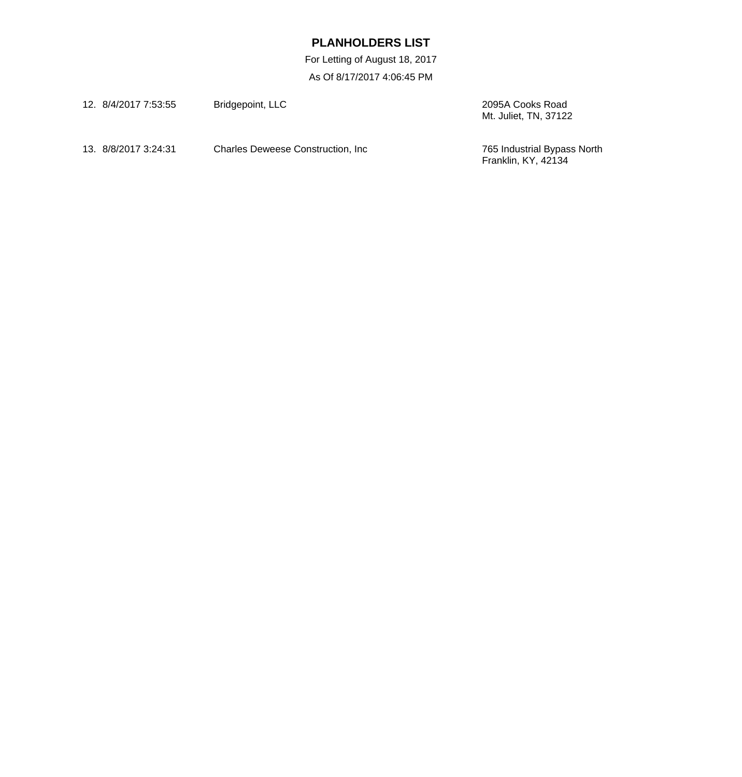| 12. 8/4/2017 7:53:55 | Bridgepoint, LLC                   | 2095A Cooks Road<br>Mt. Juliet, TN, 37122                 |
|----------------------|------------------------------------|-----------------------------------------------------------|
| 13. 8/8/2017 3:24:31 | Charles Deweese Construction, Inc. | 765 Industrial Bypass North<br><b>Franklin, KY, 42134</b> |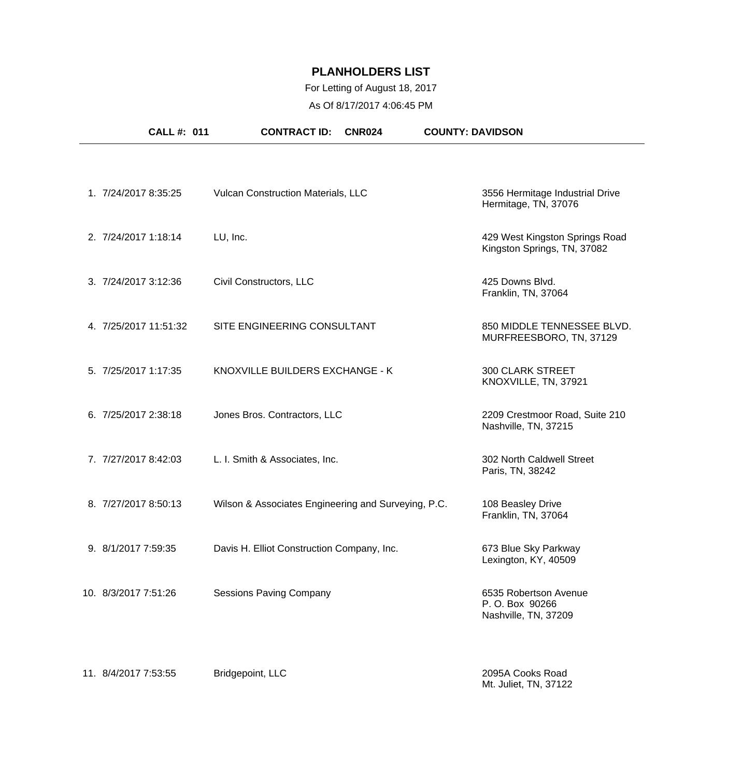## For Letting of August 18, 2017

As Of 8/17/2017 4:06:45 PM

| <b>CALL #: 011</b>    | <b>CONTRACT ID:</b><br><b>CNR024</b>                | <b>COUNTY: DAVIDSON</b>                                         |
|-----------------------|-----------------------------------------------------|-----------------------------------------------------------------|
|                       |                                                     |                                                                 |
| 1. 7/24/2017 8:35:25  | Vulcan Construction Materials, LLC                  | 3556 Hermitage Industrial Drive<br>Hermitage, TN, 37076         |
| 2. 7/24/2017 1:18:14  | LU, Inc.                                            | 429 West Kingston Springs Road<br>Kingston Springs, TN, 37082   |
| 3. 7/24/2017 3:12:36  | Civil Constructors, LLC                             | 425 Downs Blvd.<br>Franklin, TN, 37064                          |
| 4. 7/25/2017 11:51:32 | SITE ENGINEERING CONSULTANT                         | 850 MIDDLE TENNESSEE BLVD.<br>MURFREESBORO, TN, 37129           |
| 5. 7/25/2017 1:17:35  | KNOXVILLE BUILDERS EXCHANGE - K                     | <b>300 CLARK STREET</b><br>KNOXVILLE, TN, 37921                 |
| 6. 7/25/2017 2:38:18  | Jones Bros. Contractors, LLC                        | 2209 Crestmoor Road, Suite 210<br>Nashville, TN, 37215          |
| 7. 7/27/2017 8:42:03  | L. I. Smith & Associates, Inc.                      | 302 North Caldwell Street<br>Paris, TN, 38242                   |
| 8. 7/27/2017 8:50:13  | Wilson & Associates Engineering and Surveying, P.C. | 108 Beasley Drive<br>Franklin, TN, 37064                        |
| 9. 8/1/2017 7:59:35   | Davis H. Elliot Construction Company, Inc.          | 673 Blue Sky Parkway<br>Lexington, KY, 40509                    |
| 10. 8/3/2017 7:51:26  | <b>Sessions Paving Company</b>                      | 6535 Robertson Avenue<br>P.O. Box 90266<br>Nashville, TN, 37209 |
| 11. 8/4/2017 7:53:55  | Bridgepoint, LLC                                    | 2095A Cooks Road                                                |

Mt. Juliet, TN, 37122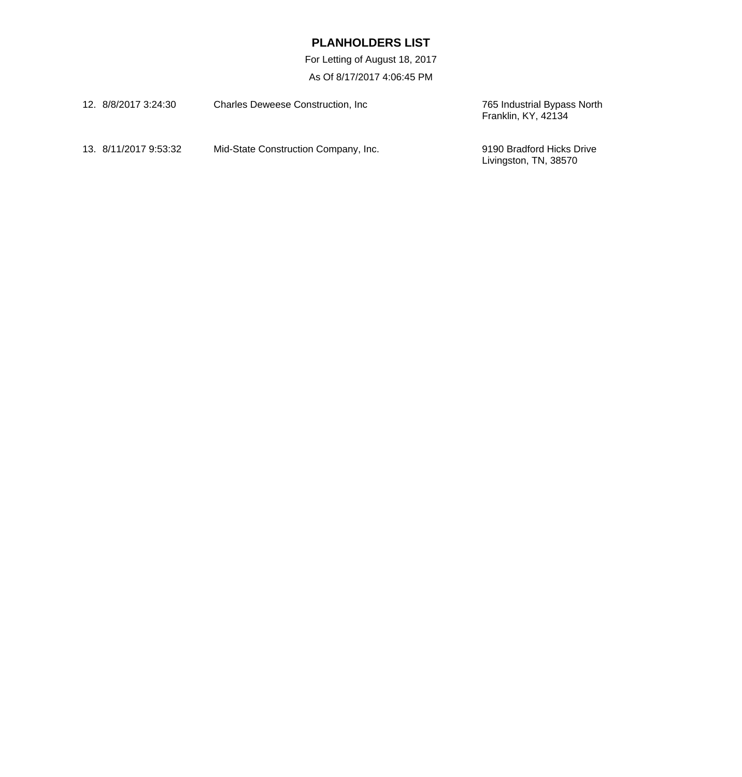| 12. 8/8/2017 3:24:30  | <b>Charles Deweese Construction, Inc.</b> | 765 Industrial Bypass North<br>Franklin, KY, 42134 |
|-----------------------|-------------------------------------------|----------------------------------------------------|
| 13. 8/11/2017 9:53:32 | Mid-State Construction Company, Inc.      | 9190 Bradford Hicks Drive<br>Livingston, TN, 38570 |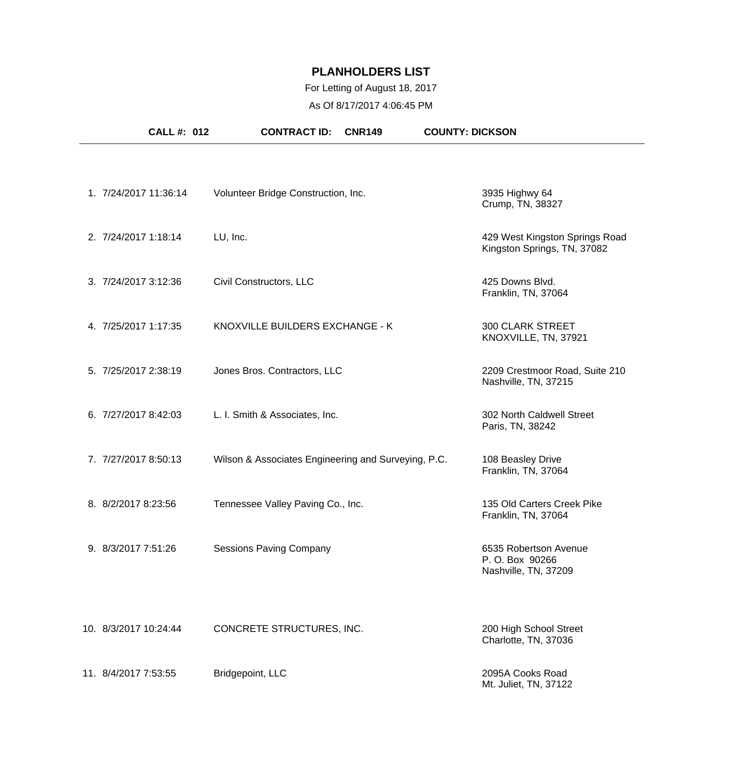#### For Letting of August 18, 2017

As Of 8/17/2017 4:06:45 PM

| <b>CALL#: 012</b>     | <b>CONTRACT ID:</b>                                 | <b>CNR149</b> | <b>COUNTY: DICKSON</b>                                          |
|-----------------------|-----------------------------------------------------|---------------|-----------------------------------------------------------------|
|                       |                                                     |               |                                                                 |
| 1. 7/24/2017 11:36:14 | Volunteer Bridge Construction, Inc.                 |               | 3935 Highwy 64<br>Crump, TN, 38327                              |
| 2. 7/24/2017 1:18:14  | LU, Inc.                                            |               | 429 West Kingston Springs Road<br>Kingston Springs, TN, 37082   |
| 3. 7/24/2017 3:12:36  | Civil Constructors, LLC                             |               | 425 Downs Blvd.<br>Franklin, TN, 37064                          |
| 4. 7/25/2017 1:17:35  | KNOXVILLE BUILDERS EXCHANGE - K                     |               | <b>300 CLARK STREET</b><br>KNOXVILLE, TN, 37921                 |
| 5. 7/25/2017 2:38:19  | Jones Bros. Contractors, LLC                        |               | 2209 Crestmoor Road, Suite 210<br>Nashville, TN, 37215          |
| 6. 7/27/2017 8:42:03  | L. I. Smith & Associates, Inc.                      |               | 302 North Caldwell Street<br>Paris, TN, 38242                   |
| 7. 7/27/2017 8:50:13  | Wilson & Associates Engineering and Surveying, P.C. |               | 108 Beasley Drive<br>Franklin, TN, 37064                        |
| 8. 8/2/2017 8:23:56   | Tennessee Valley Paving Co., Inc.                   |               | 135 Old Carters Creek Pike<br>Franklin, TN, 37064               |
| 9. 8/3/2017 7:51:26   | <b>Sessions Paving Company</b>                      |               | 6535 Robertson Avenue<br>P.O. Box 90266<br>Nashville, TN, 37209 |
| 10. 8/3/2017 10:24:44 | CONCRETE STRUCTURES, INC.                           |               | 200 High School Street<br>Charlotte, TN, 37036                  |
| 11. 8/4/2017 7:53:55  | Bridgepoint, LLC                                    |               | 2095A Cooks Road<br>Mt. Juliet, TN, 37122                       |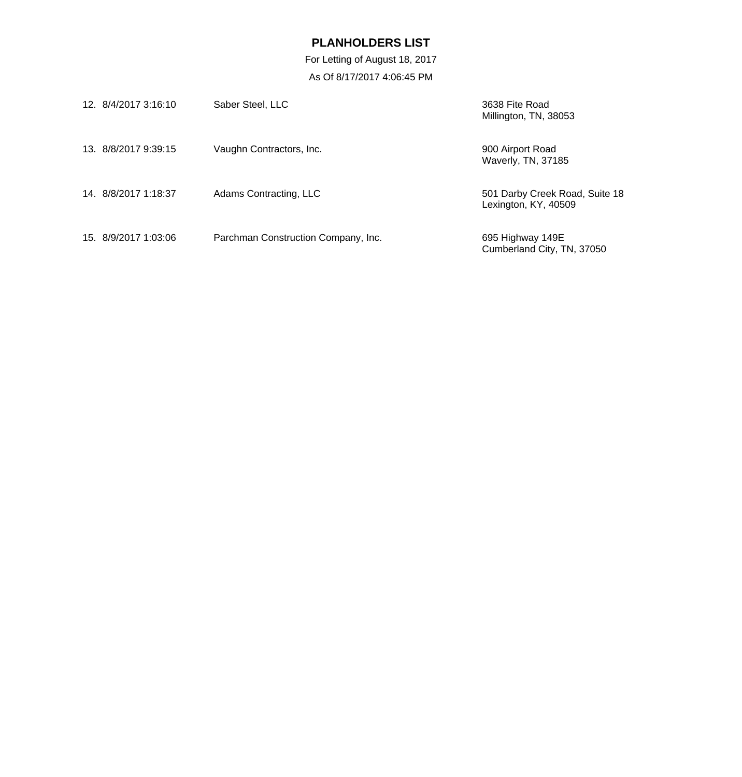| 12. 8/4/2017 3:16:10 | Saber Steel, LLC                    | 3638 Fite Road<br>Millington, TN, 38053                |
|----------------------|-------------------------------------|--------------------------------------------------------|
| 13. 8/8/2017 9:39:15 | Vaughn Contractors, Inc.            | 900 Airport Road<br>Waverly, TN, 37185                 |
| 14. 8/8/2017 1:18:37 | Adams Contracting, LLC              | 501 Darby Creek Road, Suite 18<br>Lexington, KY, 40509 |
| 15. 8/9/2017 1:03:06 | Parchman Construction Company, Inc. | 695 Highway 149E<br>Cumberland City, TN, 37050         |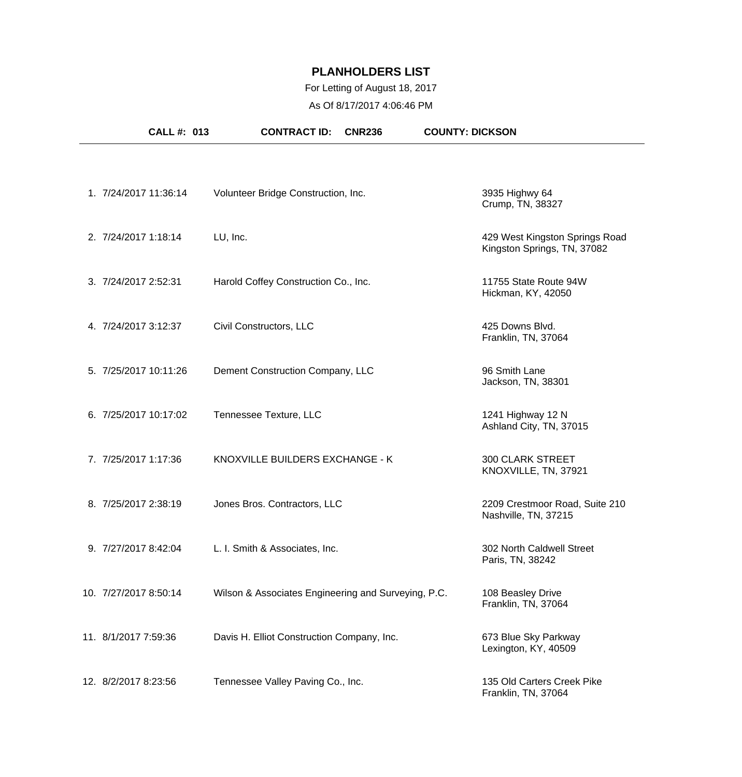## For Letting of August 18, 2017

As Of 8/17/2017 4:06:46 PM

| <b>CALL #: 013</b>    | <b>CONTRACT ID:</b><br><b>CNR236</b>                | <b>COUNTY: DICKSON</b>                                        |
|-----------------------|-----------------------------------------------------|---------------------------------------------------------------|
|                       |                                                     |                                                               |
| 1. 7/24/2017 11:36:14 | Volunteer Bridge Construction, Inc.                 | 3935 Highwy 64<br>Crump, TN, 38327                            |
| 2. 7/24/2017 1:18:14  | LU, Inc.                                            | 429 West Kingston Springs Road<br>Kingston Springs, TN, 37082 |
| 3. 7/24/2017 2:52:31  | Harold Coffey Construction Co., Inc.                | 11755 State Route 94W<br>Hickman, KY, 42050                   |
| 4. 7/24/2017 3:12:37  | Civil Constructors, LLC                             | 425 Downs Blvd.<br>Franklin, TN, 37064                        |
| 5. 7/25/2017 10:11:26 | Dement Construction Company, LLC                    | 96 Smith Lane<br>Jackson, TN, 38301                           |
| 6. 7/25/2017 10:17:02 | Tennessee Texture, LLC                              | 1241 Highway 12 N<br>Ashland City, TN, 37015                  |
| 7. 7/25/2017 1:17:36  | KNOXVILLE BUILDERS EXCHANGE - K                     | <b>300 CLARK STREET</b><br>KNOXVILLE, TN, 37921               |
| 8. 7/25/2017 2:38:19  | Jones Bros. Contractors, LLC                        | 2209 Crestmoor Road, Suite 210<br>Nashville, TN, 37215        |
| 9. 7/27/2017 8:42:04  | L. I. Smith & Associates, Inc.                      | 302 North Caldwell Street<br>Paris, TN, 38242                 |
| 10. 7/27/2017 8:50:14 | Wilson & Associates Engineering and Surveying, P.C. | 108 Beasley Drive<br>Franklin, TN, 37064                      |
| 11. 8/1/2017 7:59:36  | Davis H. Elliot Construction Company, Inc.          | 673 Blue Sky Parkway<br>Lexington, KY, 40509                  |
| 12. 8/2/2017 8:23:56  | Tennessee Valley Paving Co., Inc.                   | 135 Old Carters Creek Pike<br>Franklin, TN, 37064             |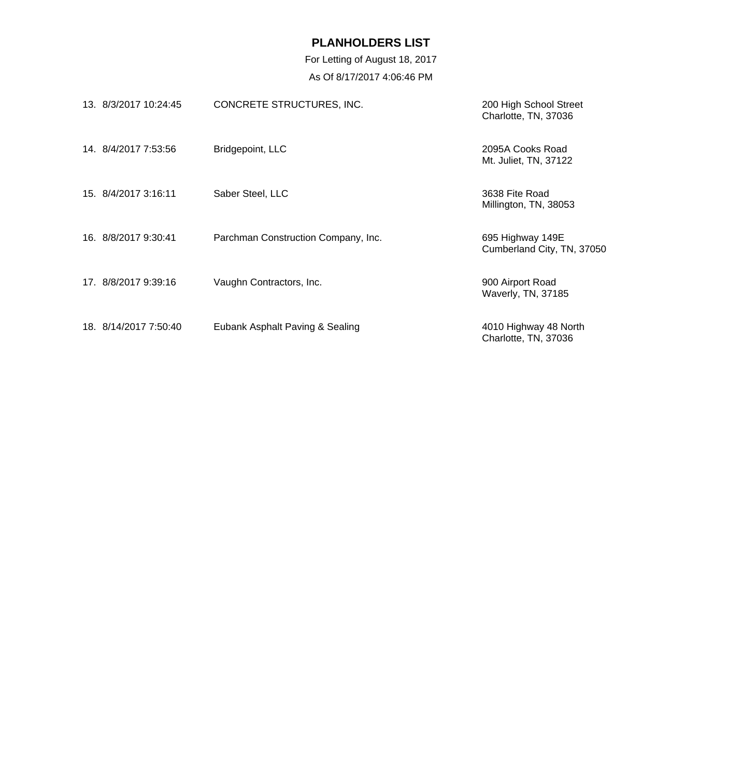| 13. 8/3/2017 10:24:45 | CONCRETE STRUCTURES, INC.           | 200 High School Street<br>Charlotte, TN, 37036 |
|-----------------------|-------------------------------------|------------------------------------------------|
| 14. 8/4/2017 7:53:56  | Bridgepoint, LLC                    | 2095A Cooks Road<br>Mt. Juliet, TN, 37122      |
| 15. 8/4/2017 3:16:11  | Saber Steel, LLC                    | 3638 Fite Road<br>Millington, TN, 38053        |
| 16. 8/8/2017 9:30:41  | Parchman Construction Company, Inc. | 695 Highway 149E<br>Cumberland City, TN, 37050 |
| 17. 8/8/2017 9:39:16  | Vaughn Contractors, Inc.            | 900 Airport Road<br>Waverly, TN, 37185         |
| 18. 8/14/2017 7:50:40 | Eubank Asphalt Paving & Sealing     | 4010 Highway 48 North<br>Charlotte, TN, 37036  |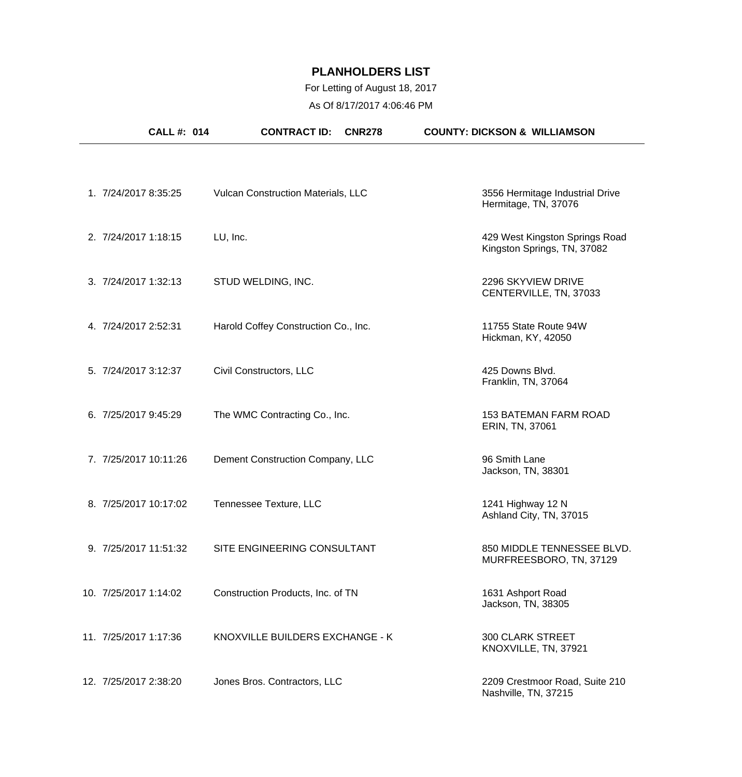| <b>CALL #: 014</b>    | <b>CONTRACT ID:</b><br><b>CNR278</b>      | <b>COUNTY: DICKSON &amp; WILLIAMSON</b>                       |
|-----------------------|-------------------------------------------|---------------------------------------------------------------|
|                       |                                           |                                                               |
| 1. 7/24/2017 8:35:25  | <b>Vulcan Construction Materials, LLC</b> | 3556 Hermitage Industrial Drive<br>Hermitage, TN, 37076       |
| 2. 7/24/2017 1:18:15  | LU, Inc.                                  | 429 West Kingston Springs Road<br>Kingston Springs, TN, 37082 |
| 3. 7/24/2017 1:32:13  | STUD WELDING, INC.                        | 2296 SKYVIEW DRIVE<br>CENTERVILLE, TN, 37033                  |
| 4. 7/24/2017 2:52:31  | Harold Coffey Construction Co., Inc.      | 11755 State Route 94W<br>Hickman, KY, 42050                   |
| 5. 7/24/2017 3:12:37  | Civil Constructors, LLC                   | 425 Downs Blvd.<br>Franklin, TN, 37064                        |
| 6. 7/25/2017 9:45:29  | The WMC Contracting Co., Inc.             | <b>153 BATEMAN FARM ROAD</b><br>ERIN, TN, 37061               |
| 7. 7/25/2017 10:11:26 | Dement Construction Company, LLC          | 96 Smith Lane<br>Jackson, TN, 38301                           |
| 8. 7/25/2017 10:17:02 | Tennessee Texture, LLC                    | 1241 Highway 12 N<br>Ashland City, TN, 37015                  |
| 9. 7/25/2017 11:51:32 | SITE ENGINEERING CONSULTANT               | 850 MIDDLE TENNESSEE BLVD.<br>MURFREESBORO, TN, 37129         |
| 10. 7/25/2017 1:14:02 | Construction Products, Inc. of TN         | 1631 Ashport Road<br>Jackson, TN, 38305                       |
| 11. 7/25/2017 1:17:36 | KNOXVILLE BUILDERS EXCHANGE - K           | <b>300 CLARK STREET</b><br>KNOXVILLE, TN, 37921               |
| 12. 7/25/2017 2:38:20 | Jones Bros. Contractors, LLC              | 2209 Crestmoor Road, Suite 210<br>Nashville, TN, 37215        |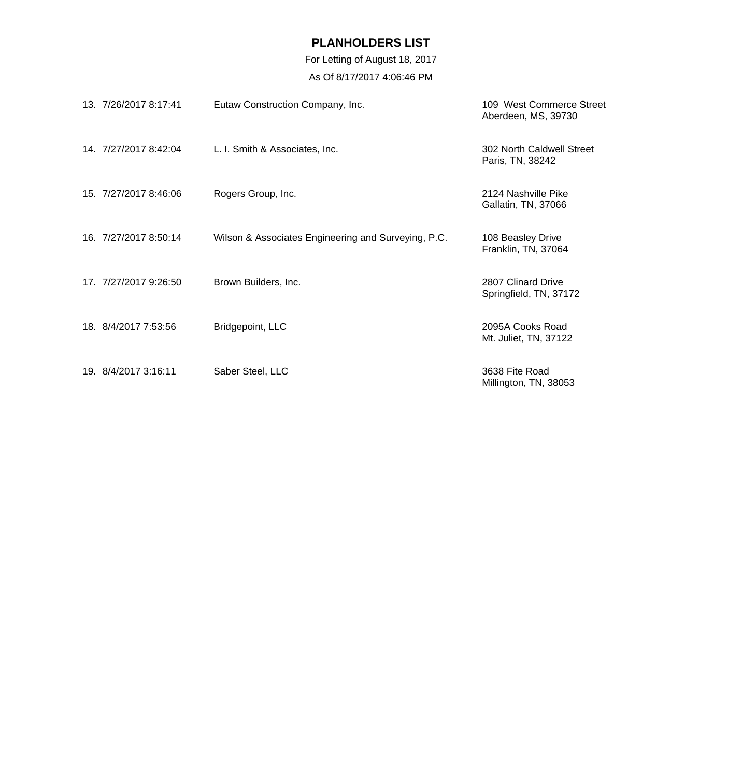| 13. 7/26/2017 8:17:41 | Eutaw Construction Company, Inc.                    | 109 West Commerce Street<br>Aberdeen, MS, 39730 |
|-----------------------|-----------------------------------------------------|-------------------------------------------------|
| 14. 7/27/2017 8:42:04 | L. I. Smith & Associates, Inc.                      | 302 North Caldwell Street<br>Paris, TN, 38242   |
| 15. 7/27/2017 8:46:06 | Rogers Group, Inc.                                  | 2124 Nashville Pike<br>Gallatin, TN, 37066      |
| 16. 7/27/2017 8:50:14 | Wilson & Associates Engineering and Surveying, P.C. | 108 Beasley Drive<br>Franklin, TN, 37064        |
| 17. 7/27/2017 9:26:50 | Brown Builders, Inc.                                | 2807 Clinard Drive<br>Springfield, TN, 37172    |
| 18. 8/4/2017 7:53:56  | Bridgepoint, LLC                                    | 2095A Cooks Road<br>Mt. Juliet, TN, 37122       |
| 19. 8/4/2017 3:16:11  | Saber Steel, LLC                                    | 3638 Fite Road<br>Millington, TN, 38053         |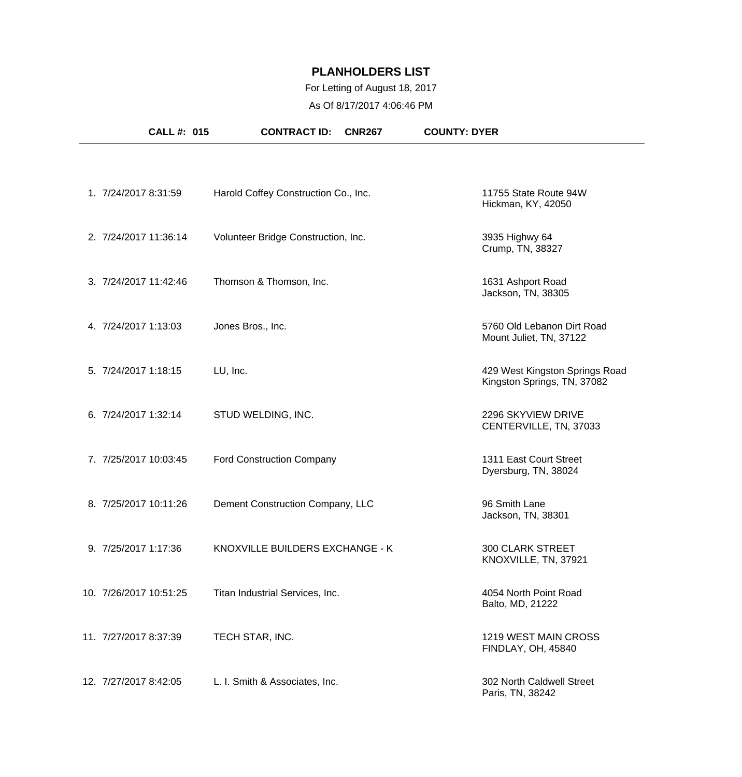#### For Letting of August 18, 2017

As Of 8/17/2017 4:06:46 PM

| <b>CALL #: 015</b>     | <b>CONTRACT ID:</b><br><b>CNR267</b> | <b>COUNTY: DYER</b>                                           |
|------------------------|--------------------------------------|---------------------------------------------------------------|
|                        |                                      |                                                               |
| 1. 7/24/2017 8:31:59   | Harold Coffey Construction Co., Inc. | 11755 State Route 94W<br>Hickman, KY, 42050                   |
| 2. 7/24/2017 11:36:14  | Volunteer Bridge Construction, Inc.  | 3935 Highwy 64<br>Crump, TN, 38327                            |
| 3. 7/24/2017 11:42:46  | Thomson & Thomson, Inc.              | 1631 Ashport Road<br>Jackson, TN, 38305                       |
| 4. 7/24/2017 1:13:03   | Jones Bros., Inc.                    | 5760 Old Lebanon Dirt Road<br>Mount Juliet, TN, 37122         |
| 5. 7/24/2017 1:18:15   | LU, Inc.                             | 429 West Kingston Springs Road<br>Kingston Springs, TN, 37082 |
| 6. 7/24/2017 1:32:14   | STUD WELDING, INC.                   | 2296 SKYVIEW DRIVE<br>CENTERVILLE, TN, 37033                  |
| 7. 7/25/2017 10:03:45  | <b>Ford Construction Company</b>     | 1311 East Court Street<br>Dyersburg, TN, 38024                |
| 8. 7/25/2017 10:11:26  | Dement Construction Company, LLC     | 96 Smith Lane<br>Jackson, TN, 38301                           |
| 9. 7/25/2017 1:17:36   | KNOXVILLE BUILDERS EXCHANGE - K      | <b>300 CLARK STREET</b><br>KNOXVILLE, TN, 37921               |
| 10. 7/26/2017 10:51:25 | Titan Industrial Services, Inc.      | 4054 North Point Road<br>Balto, MD, 21222                     |
| 11. 7/27/2017 8:37:39  | TECH STAR, INC.                      | 1219 WEST MAIN CROSS<br>FINDLAY, OH, 45840                    |
| 12. 7/27/2017 8:42:05  | L. I. Smith & Associates, Inc.       | 302 North Caldwell Street<br>Paris, TN, 38242                 |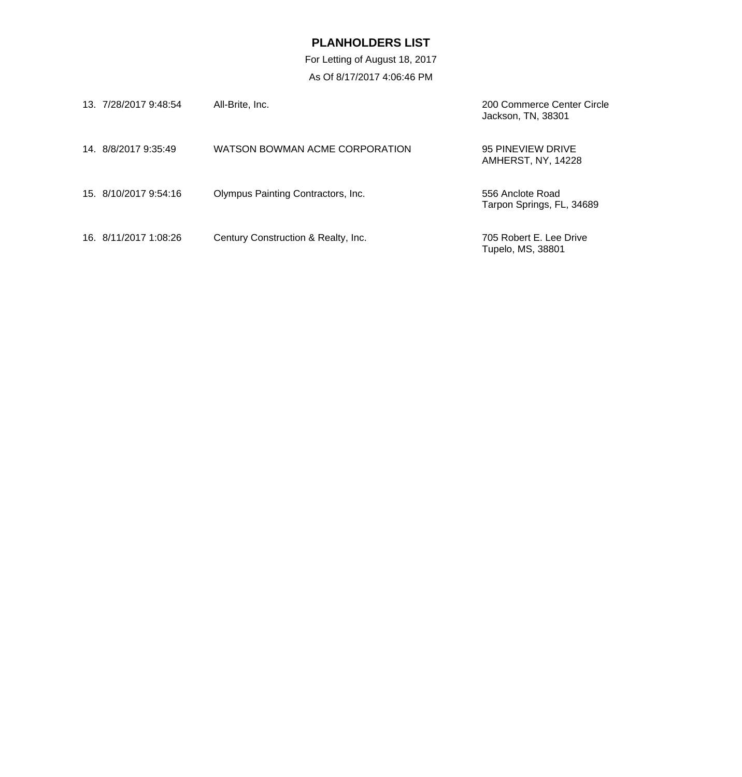| 13. 7/28/2017 9:48:54 | All-Brite, Inc.                     | 200 Commerce Center Circle<br>Jackson, TN, 38301 |
|-----------------------|-------------------------------------|--------------------------------------------------|
| 14 8/8/2017 9:35:49   | WATSON BOWMAN ACME CORPORATION      | 95 PINEVIEW DRIVE<br>AMHERST, NY, 14228          |
| 15. 8/10/2017 9:54:16 | Olympus Painting Contractors, Inc.  | 556 Anclote Road<br>Tarpon Springs, FL, 34689    |
| 16. 8/11/2017 1:08:26 | Century Construction & Realty, Inc. | 705 Robert E. Lee Drive<br>Tupelo, MS, 38801     |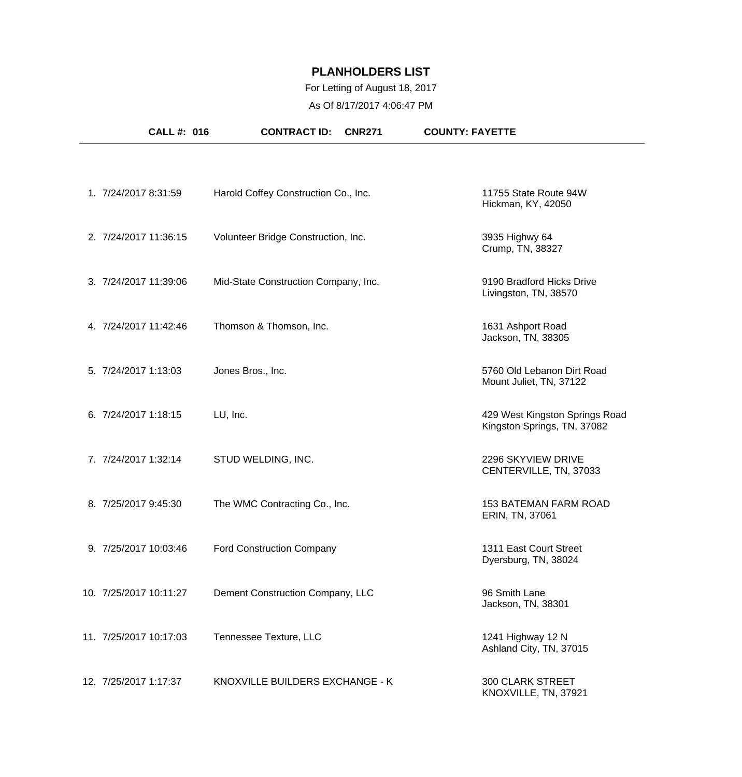## For Letting of August 18, 2017

As Of 8/17/2017 4:06:47 PM

| <b>CALL #: 016</b>     | <b>CONTRACT ID:</b><br><b>CNR271</b> | <b>COUNTY: FAYETTE</b>                                        |
|------------------------|--------------------------------------|---------------------------------------------------------------|
|                        |                                      |                                                               |
| 1. 7/24/2017 8:31:59   | Harold Coffey Construction Co., Inc. | 11755 State Route 94W<br>Hickman, KY, 42050                   |
| 2. 7/24/2017 11:36:15  | Volunteer Bridge Construction, Inc.  | 3935 Highwy 64<br>Crump, TN, 38327                            |
| 3. 7/24/2017 11:39:06  | Mid-State Construction Company, Inc. | 9190 Bradford Hicks Drive<br>Livingston, TN, 38570            |
| 4. 7/24/2017 11:42:46  | Thomson & Thomson, Inc.              | 1631 Ashport Road<br>Jackson, TN, 38305                       |
| 5. 7/24/2017 1:13:03   | Jones Bros., Inc.                    | 5760 Old Lebanon Dirt Road<br>Mount Juliet, TN, 37122         |
| 6. 7/24/2017 1:18:15   | LU, Inc.                             | 429 West Kingston Springs Road<br>Kingston Springs, TN, 37082 |
| 7. 7/24/2017 1:32:14   | STUD WELDING, INC.                   | 2296 SKYVIEW DRIVE<br>CENTERVILLE, TN, 37033                  |
| 8. 7/25/2017 9:45:30   | The WMC Contracting Co., Inc.        | <b>153 BATEMAN FARM ROAD</b><br>ERIN, TN, 37061               |
| 9. 7/25/2017 10:03:46  | <b>Ford Construction Company</b>     | 1311 East Court Street<br>Dyersburg, TN, 38024                |
| 10. 7/25/2017 10:11:27 | Dement Construction Company, LLC     | 96 Smith Lane<br>Jackson, TN, 38301                           |
| 11. 7/25/2017 10:17:03 | Tennessee Texture, LLC               | 1241 Highway 12 N<br>Ashland City, TN, 37015                  |
| 12. 7/25/2017 1:17:37  | KNOXVILLE BUILDERS EXCHANGE - K      | <b>300 CLARK STREET</b><br>KNOXVILLE, TN, 37921               |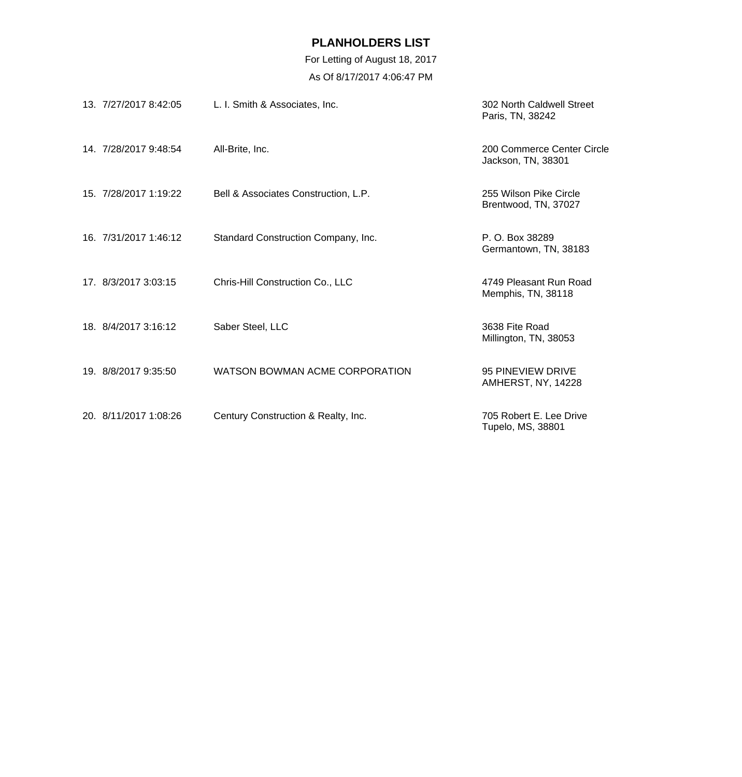| 13. 7/27/2017 8:42:05 | L. I. Smith & Associates, Inc.       | 302 North Caldwell Street<br>Paris, TN, 38242    |
|-----------------------|--------------------------------------|--------------------------------------------------|
| 14. 7/28/2017 9:48:54 | All-Brite, Inc.                      | 200 Commerce Center Circle<br>Jackson, TN, 38301 |
| 15. 7/28/2017 1:19:22 | Bell & Associates Construction, L.P. | 255 Wilson Pike Circle<br>Brentwood, TN, 37027   |
| 16. 7/31/2017 1:46:12 | Standard Construction Company, Inc.  | P. O. Box 38289<br>Germantown, TN, 38183         |
| 17. 8/3/2017 3:03:15  | Chris-Hill Construction Co., LLC     | 4749 Pleasant Run Road<br>Memphis, TN, 38118     |
| 18. 8/4/2017 3:16:12  | Saber Steel, LLC                     | 3638 Fite Road<br>Millington, TN, 38053          |
| 19. 8/8/2017 9:35:50  | WATSON BOWMAN ACME CORPORATION       | 95 PINEVIEW DRIVE<br><b>AMHERST, NY, 14228</b>   |
| 20. 8/11/2017 1:08:26 | Century Construction & Realty, Inc.  | 705 Robert E. Lee Drive<br>Tupelo, MS, 38801     |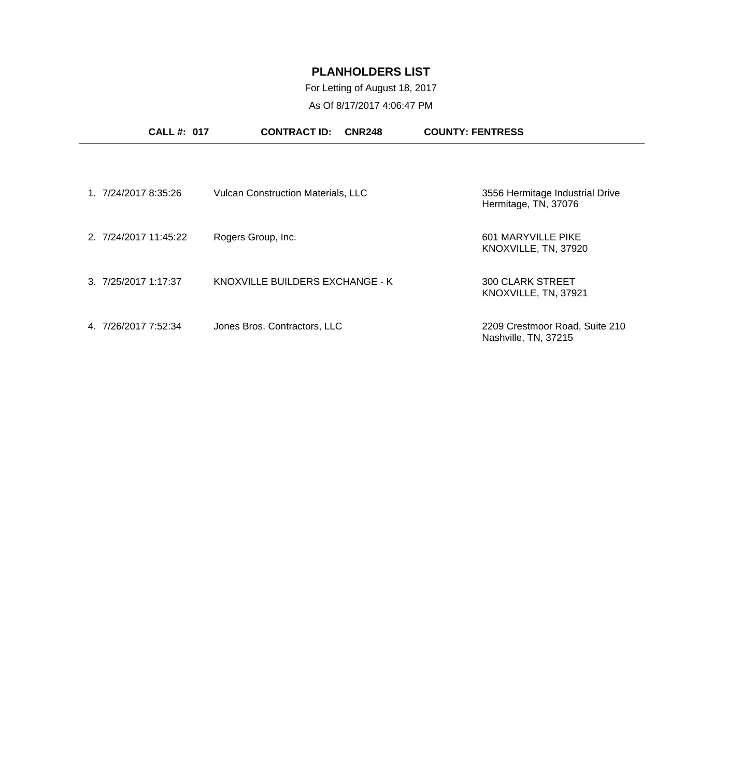For Letting of August 18, 2017

As Of 8/17/2017 4:06:47 PM

|                       | <b>CALL#: 017</b> | <b>CONTRACT ID:</b>                       | <b>CNR248</b> | <b>COUNTY: FENTRESS</b>                                 |
|-----------------------|-------------------|-------------------------------------------|---------------|---------------------------------------------------------|
|                       |                   |                                           |               |                                                         |
| 1. 7/24/2017 8:35:26  |                   | <b>Vulcan Construction Materials, LLC</b> |               | 3556 Hermitage Industrial Drive<br>Hermitage, TN, 37076 |
| 2. 7/24/2017 11:45:22 |                   | Rogers Group, Inc.                        |               | 601 MARYVILLE PIKE<br>KNOXVILLE, TN, 37920              |
| 3.7/25/20171:17:37    |                   | KNOXVILLE BUILDERS EXCHANGE - K           |               | <b>300 CLARK STREET</b><br>KNOXVILLE, TN, 37921         |
| 4 7/26/2017 7:52:34   |                   | Jones Bros. Contractors, LLC              |               | 2209 Crestmoor Road, Suite 210<br>Nashville, TN, 37215  |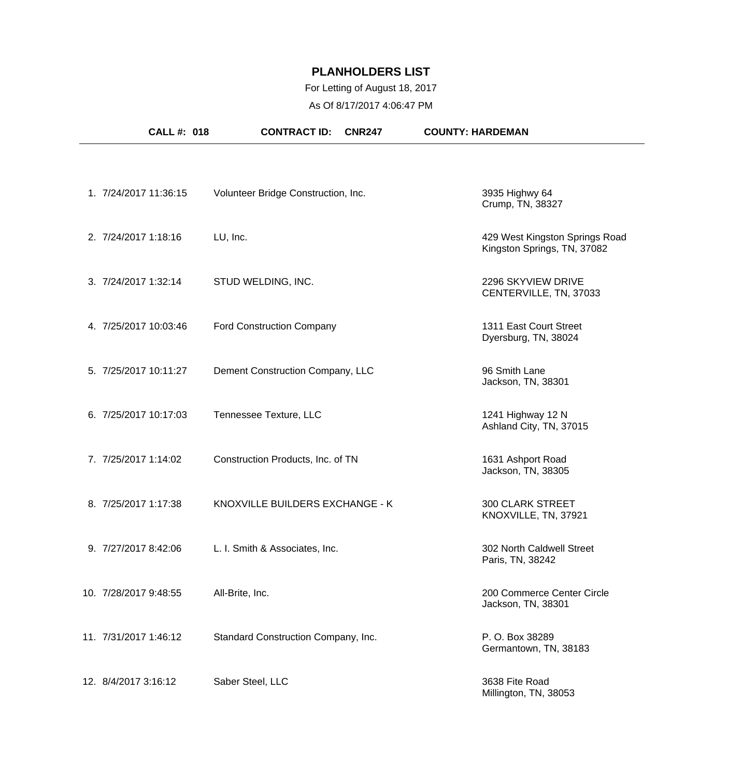## For Letting of August 18, 2017

As Of 8/17/2017 4:06:47 PM

| <b>CALL #: 018</b>    | <b>CONTRACT ID:</b><br><b>CNR247</b> | <b>COUNTY: HARDEMAN</b>                                       |
|-----------------------|--------------------------------------|---------------------------------------------------------------|
|                       |                                      |                                                               |
| 1. 7/24/2017 11:36:15 | Volunteer Bridge Construction, Inc.  | 3935 Highwy 64<br>Crump, TN, 38327                            |
| 2. 7/24/2017 1:18:16  | LU, Inc.                             | 429 West Kingston Springs Road<br>Kingston Springs, TN, 37082 |
| 3. 7/24/2017 1:32:14  | STUD WELDING, INC.                   | 2296 SKYVIEW DRIVE<br>CENTERVILLE, TN, 37033                  |
| 4. 7/25/2017 10:03:46 | <b>Ford Construction Company</b>     | 1311 East Court Street<br>Dyersburg, TN, 38024                |
| 5. 7/25/2017 10:11:27 | Dement Construction Company, LLC     | 96 Smith Lane<br>Jackson, TN, 38301                           |
| 6. 7/25/2017 10:17:03 | Tennessee Texture, LLC               | 1241 Highway 12 N<br>Ashland City, TN, 37015                  |
| 7. 7/25/2017 1:14:02  | Construction Products, Inc. of TN    | 1631 Ashport Road<br>Jackson, TN, 38305                       |
| 8. 7/25/2017 1:17:38  | KNOXVILLE BUILDERS EXCHANGE - K      | <b>300 CLARK STREET</b><br>KNOXVILLE, TN, 37921               |
| 9. 7/27/2017 8:42:06  | L. I. Smith & Associates, Inc.       | 302 North Caldwell Street<br>Paris, TN, 38242                 |
| 10. 7/28/2017 9:48:55 | All-Brite, Inc.                      | 200 Commerce Center Circle<br>Jackson, TN, 38301              |
| 11. 7/31/2017 1:46:12 | Standard Construction Company, Inc.  | P. O. Box 38289<br>Germantown, TN, 38183                      |
| 12. 8/4/2017 3:16:12  | Saber Steel, LLC                     | 3638 Fite Road<br>Millington, TN, 38053                       |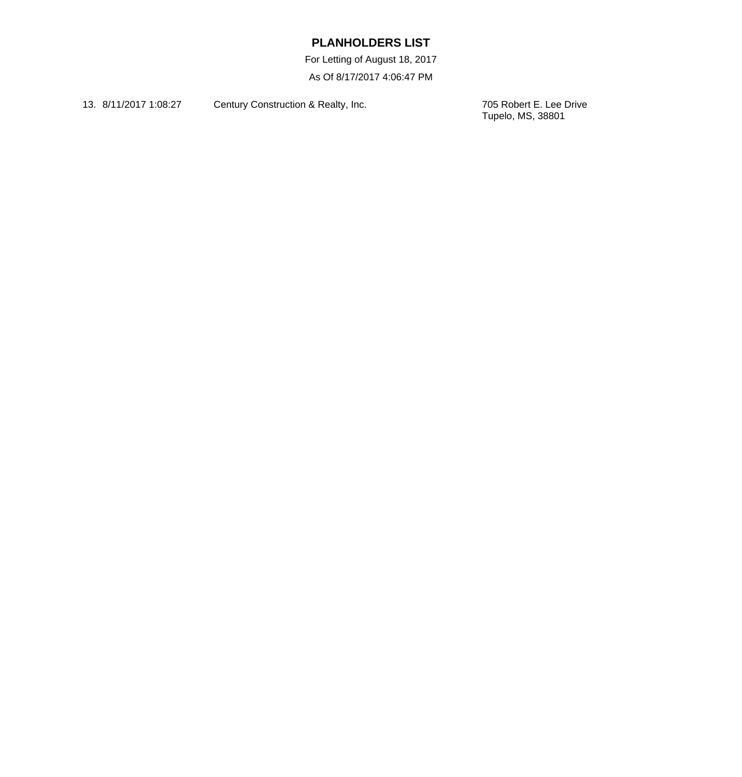For Letting of August 18, 2017 As Of 8/17/2017 4:06:47 PM

13. 8/11/2017 1:08:27 Century Construction & Realty, Inc.

705 Robert E. Lee Drive<br>Tupelo, MS, 38801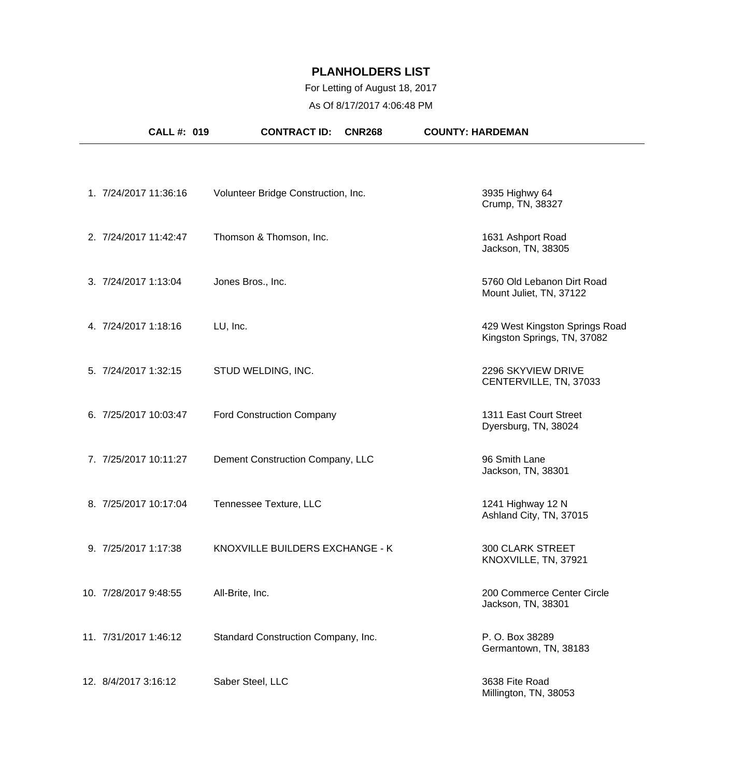### For Letting of August 18, 2017

As Of 8/17/2017 4:06:48 PM

| <b>CALL #: 019</b>    | <b>CONTRACT ID:</b><br><b>CNR268</b> | <b>COUNTY: HARDEMAN</b>                                       |
|-----------------------|--------------------------------------|---------------------------------------------------------------|
|                       |                                      |                                                               |
| 1. 7/24/2017 11:36:16 | Volunteer Bridge Construction, Inc.  | 3935 Highwy 64<br>Crump, TN, 38327                            |
| 2. 7/24/2017 11:42:47 | Thomson & Thomson, Inc.              | 1631 Ashport Road<br>Jackson, TN, 38305                       |
| 3. 7/24/2017 1:13:04  | Jones Bros., Inc.                    | 5760 Old Lebanon Dirt Road<br>Mount Juliet, TN, 37122         |
| 4. 7/24/2017 1:18:16  | LU, Inc.                             | 429 West Kingston Springs Road<br>Kingston Springs, TN, 37082 |
| 5. 7/24/2017 1:32:15  | STUD WELDING, INC.                   | 2296 SKYVIEW DRIVE<br>CENTERVILLE, TN, 37033                  |
| 6. 7/25/2017 10:03:47 | <b>Ford Construction Company</b>     | 1311 East Court Street<br>Dyersburg, TN, 38024                |
| 7. 7/25/2017 10:11:27 | Dement Construction Company, LLC     | 96 Smith Lane<br>Jackson, TN, 38301                           |
| 8. 7/25/2017 10:17:04 | Tennessee Texture, LLC               | 1241 Highway 12 N<br>Ashland City, TN, 37015                  |
| 9. 7/25/2017 1:17:38  | KNOXVILLE BUILDERS EXCHANGE - K      | <b>300 CLARK STREET</b><br>KNOXVILLE, TN, 37921               |
| 10. 7/28/2017 9:48:55 | All-Brite, Inc.                      | 200 Commerce Center Circle<br>Jackson, TN, 38301              |
| 11. 7/31/2017 1:46:12 | Standard Construction Company, Inc.  | P. O. Box 38289<br>Germantown, TN, 38183                      |
| 12. 8/4/2017 3:16:12  | Saber Steel, LLC                     | 3638 Fite Road<br>Millington, TN, 38053                       |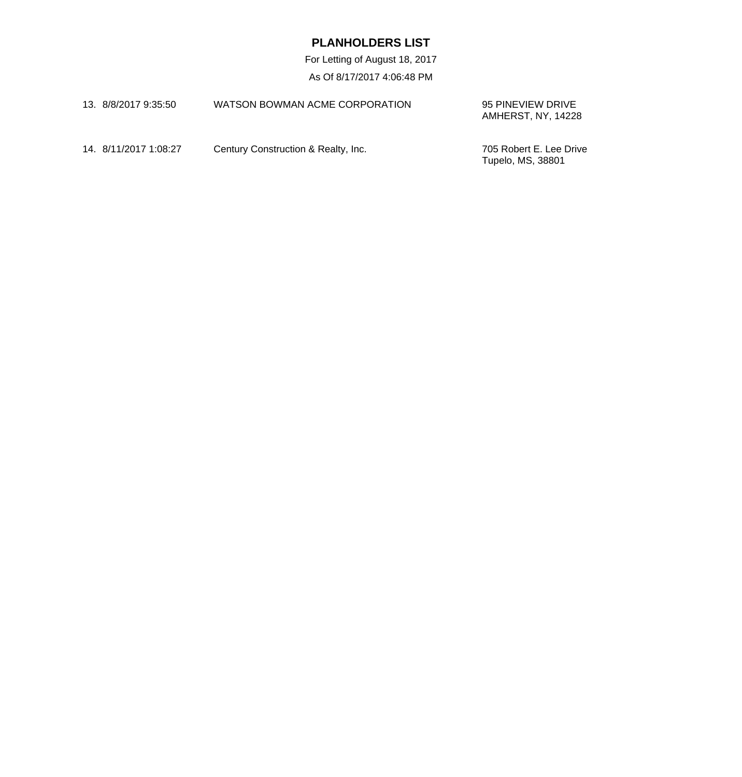| 13. 8/8/2017 9:35:50  | WATSON BOWMAN ACME CORPORATION      | 95 PINEVIEW DRIVE<br>AMHERST, NY. 14228      |
|-----------------------|-------------------------------------|----------------------------------------------|
| 14. 8/11/2017 1:08:27 | Century Construction & Realty, Inc. | 705 Robert E. Lee Drive<br>Tupelo, MS, 38801 |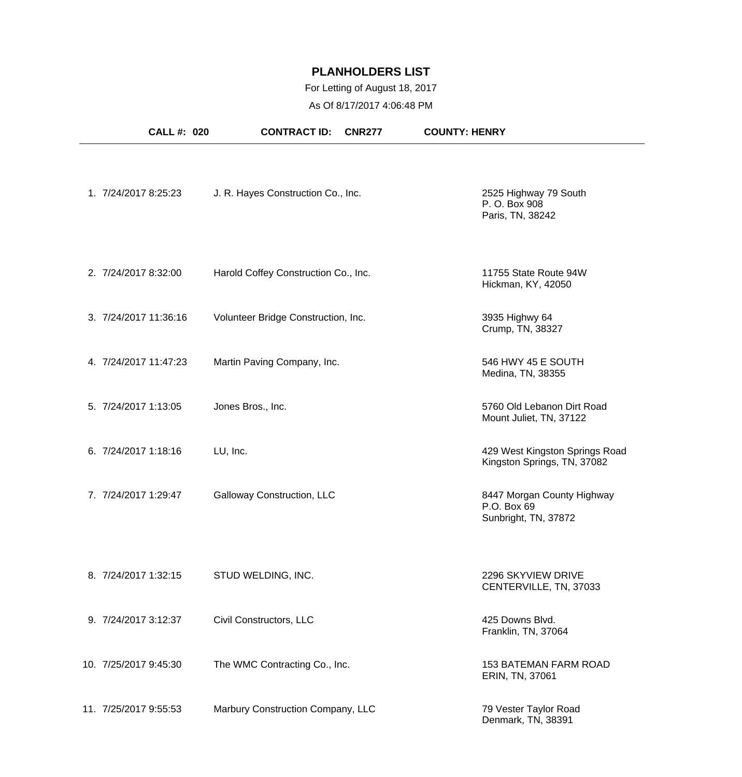## For Letting of August 18, 2017

As Of 8/17/2017 4:06:48 PM

| <b>CALL #: 020</b>    | <b>CONTRACT ID:</b><br><b>CNR277</b> | <b>COUNTY: HENRY</b>                                              |
|-----------------------|--------------------------------------|-------------------------------------------------------------------|
| 1. 7/24/2017 8:25:23  | J. R. Hayes Construction Co., Inc.   | 2525 Highway 79 South<br>P. O. Box 908<br>Paris, TN, 38242        |
| 2. 7/24/2017 8:32:00  | Harold Coffey Construction Co., Inc. | 11755 State Route 94W<br>Hickman, KY, 42050                       |
| 3. 7/24/2017 11:36:16 | Volunteer Bridge Construction, Inc.  | 3935 Highwy 64<br>Crump, TN, 38327                                |
| 4. 7/24/2017 11:47:23 | Martin Paving Company, Inc.          | 546 HWY 45 E SOUTH<br>Medina, TN, 38355                           |
| 5. 7/24/2017 1:13:05  | Jones Bros., Inc.                    | 5760 Old Lebanon Dirt Road<br>Mount Juliet, TN, 37122             |
| 6. 7/24/2017 1:18:16  | LU, Inc.                             | 429 West Kingston Springs Road<br>Kingston Springs, TN, 37082     |
| 7. 7/24/2017 1:29:47  | Galloway Construction, LLC           | 8447 Morgan County Highway<br>P.O. Box 69<br>Sunbright, TN, 37872 |
| 8. 7/24/2017 1:32:15  | STUD WELDING, INC.                   | 2296 SKYVIEW DRIVE<br>CENTERVILLE, TN, 37033                      |
| 9. 7/24/2017 3:12:37  | Civil Constructors, LLC              | 425 Downs Blvd.<br>Franklin, TN, 37064                            |
| 10. 7/25/2017 9:45:30 | The WMC Contracting Co., Inc.        | <b>153 BATEMAN FARM ROAD</b><br>ERIN, TN, 37061                   |
| 11. 7/25/2017 9:55:53 | Marbury Construction Company, LLC    | 79 Vester Taylor Road<br>Denmark, TN, 38391                       |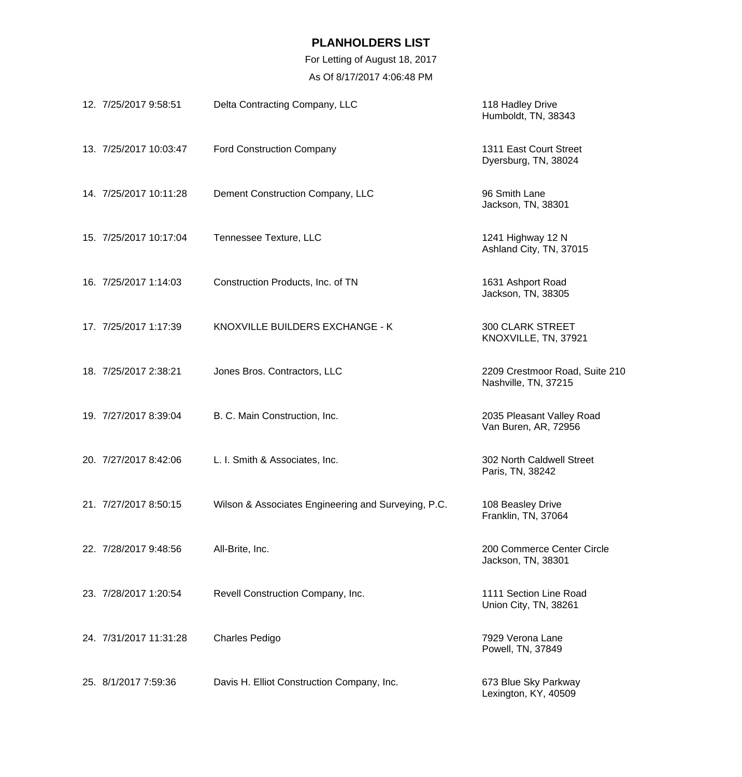| 12. 7/25/2017 9:58:51  | Delta Contracting Company, LLC                      | 118 Hadley Drive<br>Humboldt, TN, 38343                |
|------------------------|-----------------------------------------------------|--------------------------------------------------------|
| 13. 7/25/2017 10:03:47 | <b>Ford Construction Company</b>                    | 1311 East Court Street<br>Dyersburg, TN, 38024         |
| 14. 7/25/2017 10:11:28 | Dement Construction Company, LLC                    | 96 Smith Lane<br>Jackson, TN, 38301                    |
| 15. 7/25/2017 10:17:04 | Tennessee Texture, LLC                              | 1241 Highway 12 N<br>Ashland City, TN, 37015           |
| 16. 7/25/2017 1:14:03  | Construction Products, Inc. of TN                   | 1631 Ashport Road<br>Jackson, TN, 38305                |
| 17. 7/25/2017 1:17:39  | KNOXVILLE BUILDERS EXCHANGE - K                     | <b>300 CLARK STREET</b><br>KNOXVILLE, TN, 37921        |
| 18. 7/25/2017 2:38:21  | Jones Bros. Contractors, LLC                        | 2209 Crestmoor Road, Suite 210<br>Nashville, TN, 37215 |
| 19. 7/27/2017 8:39:04  | B. C. Main Construction, Inc.                       | 2035 Pleasant Valley Road<br>Van Buren, AR, 72956      |
| 20. 7/27/2017 8:42:06  | L. I. Smith & Associates, Inc.                      | 302 North Caldwell Street<br>Paris, TN, 38242          |
| 21. 7/27/2017 8:50:15  | Wilson & Associates Engineering and Surveying, P.C. | 108 Beasley Drive<br>Franklin, TN, 37064               |
| 22. 7/28/2017 9:48:56  | All-Brite, Inc.                                     | 200 Commerce Center Circle<br>Jackson, TN, 38301       |
| 23. 7/28/2017 1:20:54  | Revell Construction Company, Inc.                   | 1111 Section Line Road<br>Union City, TN, 38261        |
| 24. 7/31/2017 11:31:28 | <b>Charles Pedigo</b>                               | 7929 Verona Lane<br>Powell, TN, 37849                  |
| 25. 8/1/2017 7:59:36   | Davis H. Elliot Construction Company, Inc.          | 673 Blue Sky Parkway<br>Lexington, KY, 40509           |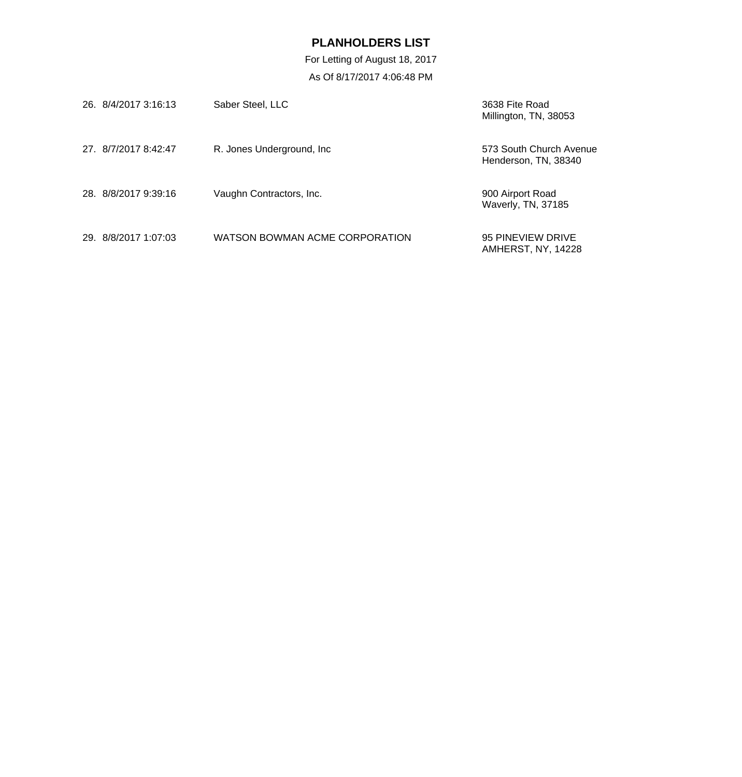| 26. 8/4/2017 3:16:13 | Saber Steel, LLC               | 3638 Fite Road<br>Millington, TN, 38053         |
|----------------------|--------------------------------|-------------------------------------------------|
| 27. 8/7/2017 8:42:47 | R. Jones Underground, Inc.     | 573 South Church Avenue<br>Henderson, TN, 38340 |
| 28. 8/8/2017 9:39:16 | Vaughn Contractors, Inc.       | 900 Airport Road<br>Waverly, TN, 37185          |
| 29 8/8/2017 1:07:03  | WATSON BOWMAN ACME CORPORATION | 95 PINEVIEW DRIVE<br><b>AMHERST, NY, 14228</b>  |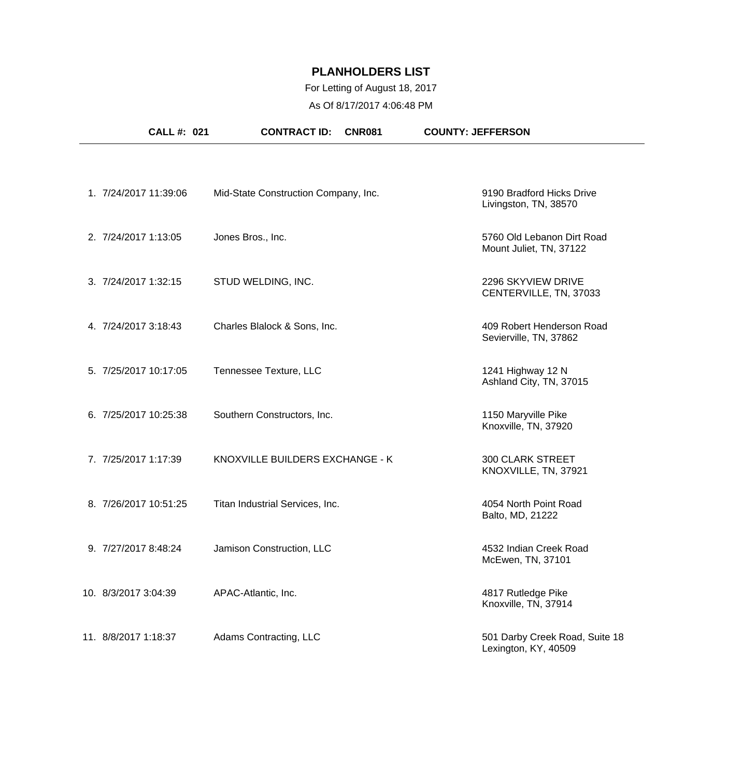## For Letting of August 18, 2017

As Of 8/17/2017 4:06:48 PM

| CALL #: 021           | <b>CONTRACT ID:</b>                  | <b>CNR081</b> | <b>COUNTY: JEFFERSON</b>                               |
|-----------------------|--------------------------------------|---------------|--------------------------------------------------------|
|                       |                                      |               |                                                        |
| 1. 7/24/2017 11:39:06 | Mid-State Construction Company, Inc. |               | 9190 Bradford Hicks Drive<br>Livingston, TN, 38570     |
| 2. 7/24/2017 1:13:05  | Jones Bros., Inc.                    |               | 5760 Old Lebanon Dirt Road<br>Mount Juliet, TN, 37122  |
| 3. 7/24/2017 1:32:15  | STUD WELDING, INC.                   |               | 2296 SKYVIEW DRIVE<br>CENTERVILLE, TN, 37033           |
| 4. 7/24/2017 3:18:43  | Charles Blalock & Sons, Inc.         |               | 409 Robert Henderson Road<br>Sevierville, TN, 37862    |
| 5. 7/25/2017 10:17:05 | Tennessee Texture, LLC               |               | 1241 Highway 12 N<br>Ashland City, TN, 37015           |
| 6. 7/25/2017 10:25:38 | Southern Constructors, Inc.          |               | 1150 Maryville Pike<br>Knoxville, TN, 37920            |
| 7. 7/25/2017 1:17:39  | KNOXVILLE BUILDERS EXCHANGE - K      |               | <b>300 CLARK STREET</b><br>KNOXVILLE, TN, 37921        |
| 8. 7/26/2017 10:51:25 | Titan Industrial Services, Inc.      |               | 4054 North Point Road<br>Balto, MD, 21222              |
| 9. 7/27/2017 8:48:24  | Jamison Construction, LLC            |               | 4532 Indian Creek Road<br>McEwen, TN, 37101            |
| 10. 8/3/2017 3:04:39  | APAC-Atlantic, Inc.                  |               | 4817 Rutledge Pike<br>Knoxville, TN, 37914             |
| 11. 8/8/2017 1:18:37  | Adams Contracting, LLC               |               | 501 Darby Creek Road, Suite 18<br>Lexington, KY, 40509 |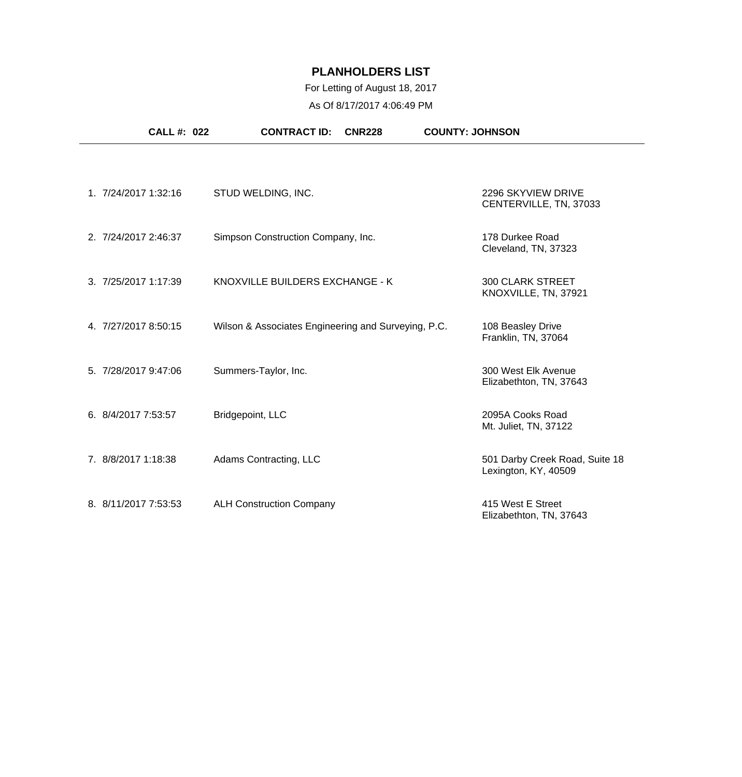| <b>CALL #: 022</b>   | <b>CONTRACT ID:</b><br><b>CNR228</b>                | <b>COUNTY: JOHNSON</b>                                 |
|----------------------|-----------------------------------------------------|--------------------------------------------------------|
| 1. 7/24/2017 1:32:16 | STUD WELDING, INC.                                  | 2296 SKYVIEW DRIVE<br>CENTERVILLE, TN, 37033           |
| 2. 7/24/2017 2:46:37 | Simpson Construction Company, Inc.                  | 178 Durkee Road<br>Cleveland, TN, 37323                |
| 3. 7/25/2017 1:17:39 | KNOXVILLE BUILDERS EXCHANGE - K                     | <b>300 CLARK STREET</b><br>KNOXVILLE, TN, 37921        |
| 4. 7/27/2017 8:50:15 | Wilson & Associates Engineering and Surveying, P.C. | 108 Beasley Drive<br>Franklin, TN, 37064               |
| 5. 7/28/2017 9:47:06 | Summers-Taylor, Inc.                                | 300 West Elk Avenue<br>Elizabethton, TN, 37643         |
| 6. 8/4/2017 7:53:57  | Bridgepoint, LLC                                    | 2095A Cooks Road<br>Mt. Juliet, TN, 37122              |
| 7. 8/8/2017 1:18:38  | Adams Contracting, LLC                              | 501 Darby Creek Road, Suite 18<br>Lexington, KY, 40509 |
| 8. 8/11/2017 7:53:53 | <b>ALH Construction Company</b>                     | 415 West E Street<br>Elizabethton, TN, 37643           |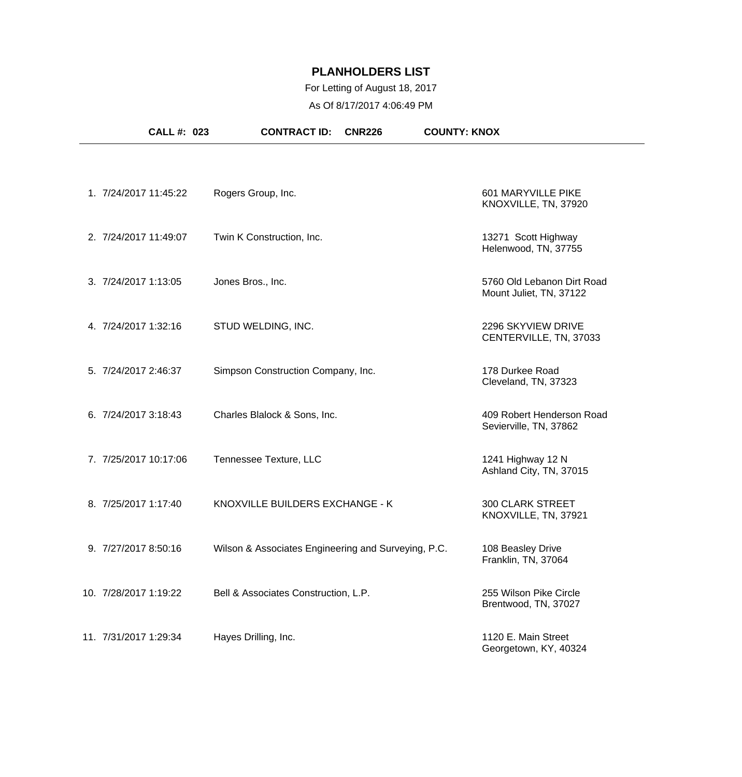## For Letting of August 18, 2017

As Of 8/17/2017 4:06:49 PM

| CALL #: 023           | <b>CONTRACT ID:</b><br><b>CNR226</b>                | <b>COUNTY: KNOX</b>                                   |
|-----------------------|-----------------------------------------------------|-------------------------------------------------------|
|                       |                                                     |                                                       |
| 1. 7/24/2017 11:45:22 | Rogers Group, Inc.                                  | 601 MARYVILLE PIKE<br>KNOXVILLE, TN, 37920            |
| 2. 7/24/2017 11:49:07 | Twin K Construction, Inc.                           | 13271 Scott Highway<br>Helenwood, TN, 37755           |
| 3. 7/24/2017 1:13:05  | Jones Bros., Inc.                                   | 5760 Old Lebanon Dirt Road<br>Mount Juliet, TN, 37122 |
| 4. 7/24/2017 1:32:16  | STUD WELDING, INC.                                  | 2296 SKYVIEW DRIVE<br>CENTERVILLE, TN, 37033          |
| 5. 7/24/2017 2:46:37  | Simpson Construction Company, Inc.                  | 178 Durkee Road<br>Cleveland, TN, 37323               |
| 6. 7/24/2017 3:18:43  | Charles Blalock & Sons, Inc.                        | 409 Robert Henderson Road<br>Sevierville, TN, 37862   |
| 7. 7/25/2017 10:17:06 | Tennessee Texture, LLC                              | 1241 Highway 12 N<br>Ashland City, TN, 37015          |
| 8. 7/25/2017 1:17:40  | KNOXVILLE BUILDERS EXCHANGE - K                     | <b>300 CLARK STREET</b><br>KNOXVILLE, TN, 37921       |
| 9. 7/27/2017 8:50:16  | Wilson & Associates Engineering and Surveying, P.C. | 108 Beasley Drive<br>Franklin, TN, 37064              |
| 10. 7/28/2017 1:19:22 | Bell & Associates Construction, L.P.                | 255 Wilson Pike Circle<br>Brentwood, TN, 37027        |
| 11. 7/31/2017 1:29:34 | Hayes Drilling, Inc.                                | 1120 E. Main Street<br>Georgetown, KY, 40324          |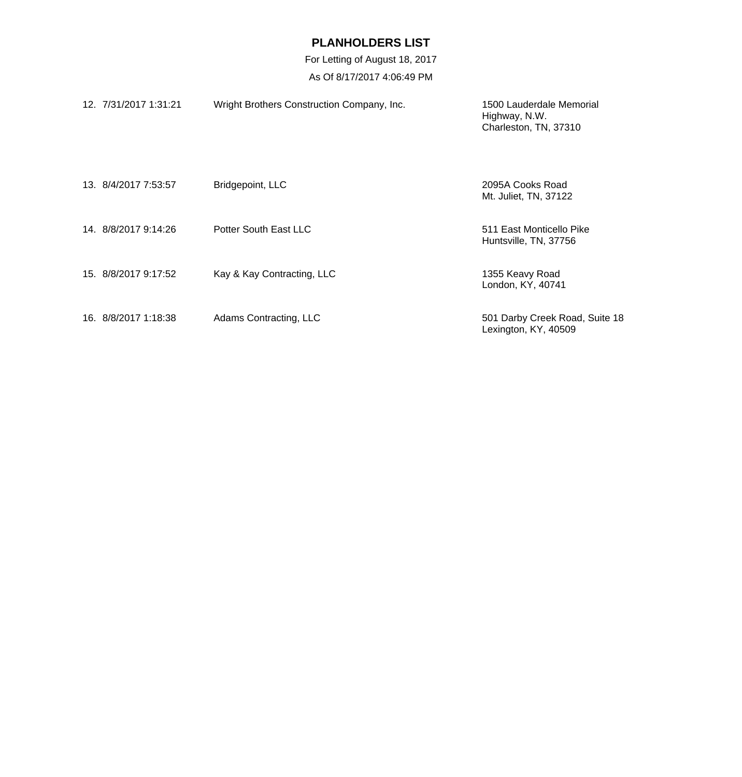| 12. 7/31/2017 1:31:21 | Wright Brothers Construction Company, Inc. | 1500 Lauderdale Memorial<br>Highway, N.W.<br>Charleston, TN, 37310 |
|-----------------------|--------------------------------------------|--------------------------------------------------------------------|
| 13. 8/4/2017 7:53:57  | Bridgepoint, LLC                           | 2095A Cooks Road<br>Mt. Juliet, TN, 37122                          |
| 14. 8/8/2017 9:14:26  | Potter South East LLC                      | 511 East Monticello Pike<br>Huntsville, TN, 37756                  |
| 15. 8/8/2017 9:17:52  | Kay & Kay Contracting, LLC                 | 1355 Keavy Road<br>London, KY, 40741                               |
| 16. 8/8/2017 1:18:38  | Adams Contracting, LLC                     | 501 Darby Creek Road, Suite 18<br>Lexington, KY, 40509             |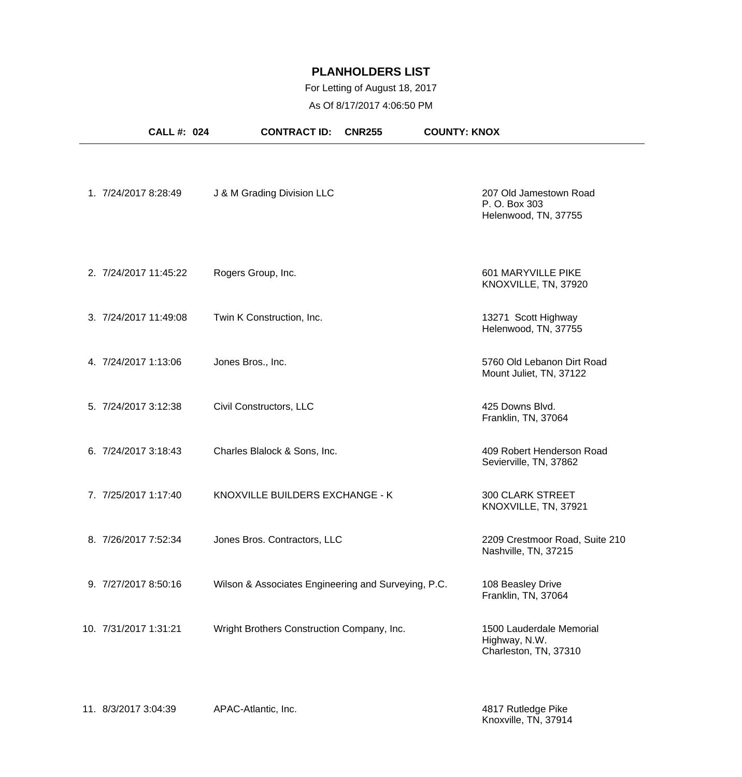## For Letting of August 18, 2017

As Of 8/17/2017 4:06:50 PM

| <b>CALL #: 024</b>    | <b>CONTRACT ID:</b>                                 | <b>CNR255</b> | <b>COUNTY: KNOX</b>                                                |
|-----------------------|-----------------------------------------------------|---------------|--------------------------------------------------------------------|
| 1. 7/24/2017 8:28:49  | J & M Grading Division LLC                          |               | 207 Old Jamestown Road<br>P. O. Box 303<br>Helenwood, TN, 37755    |
| 2. 7/24/2017 11:45:22 | Rogers Group, Inc.                                  |               | 601 MARYVILLE PIKE<br>KNOXVILLE, TN, 37920                         |
| 3. 7/24/2017 11:49:08 | Twin K Construction, Inc.                           |               | 13271 Scott Highway<br>Helenwood, TN, 37755                        |
| 4. 7/24/2017 1:13:06  | Jones Bros., Inc.                                   |               | 5760 Old Lebanon Dirt Road<br>Mount Juliet, TN, 37122              |
| 5. 7/24/2017 3:12:38  | Civil Constructors, LLC                             |               | 425 Downs Blvd.<br>Franklin, TN, 37064                             |
| 6. 7/24/2017 3:18:43  | Charles Blalock & Sons, Inc.                        |               | 409 Robert Henderson Road<br>Sevierville, TN, 37862                |
| 7. 7/25/2017 1:17:40  | KNOXVILLE BUILDERS EXCHANGE - K                     |               | <b>300 CLARK STREET</b><br>KNOXVILLE, TN, 37921                    |
| 8. 7/26/2017 7:52:34  | Jones Bros. Contractors, LLC                        |               | 2209 Crestmoor Road, Suite 210<br>Nashville, TN, 37215             |
| 9. 7/27/2017 8:50:16  | Wilson & Associates Engineering and Surveying, P.C. |               | 108 Beasley Drive<br>Franklin, TN, 37064                           |
| 10. 7/31/2017 1:31:21 | Wright Brothers Construction Company, Inc.          |               | 1500 Lauderdale Memorial<br>Highway, N.W.<br>Charleston, TN, 37310 |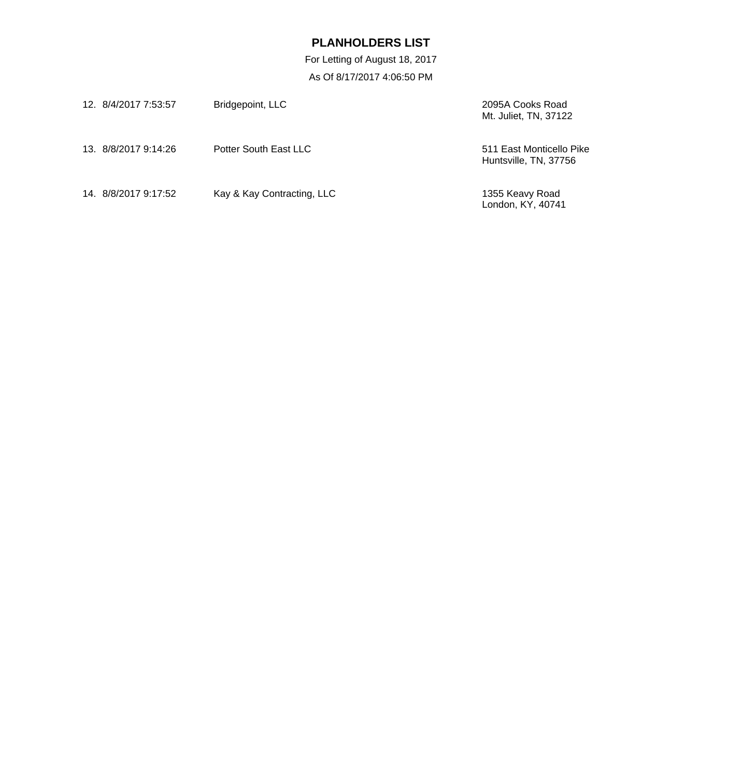| 12. 8/4/2017 7:53:57 | Bridgepoint, LLC           | 2095A Cooks Road<br>Mt. Juliet, TN, 37122         |
|----------------------|----------------------------|---------------------------------------------------|
| 13. 8/8/2017 9:14:26 | Potter South East LLC      | 511 East Monticello Pike<br>Huntsville, TN, 37756 |
| 14. 8/8/2017 9:17:52 | Kay & Kay Contracting, LLC | 1355 Keavy Road<br>London, KY, 40741              |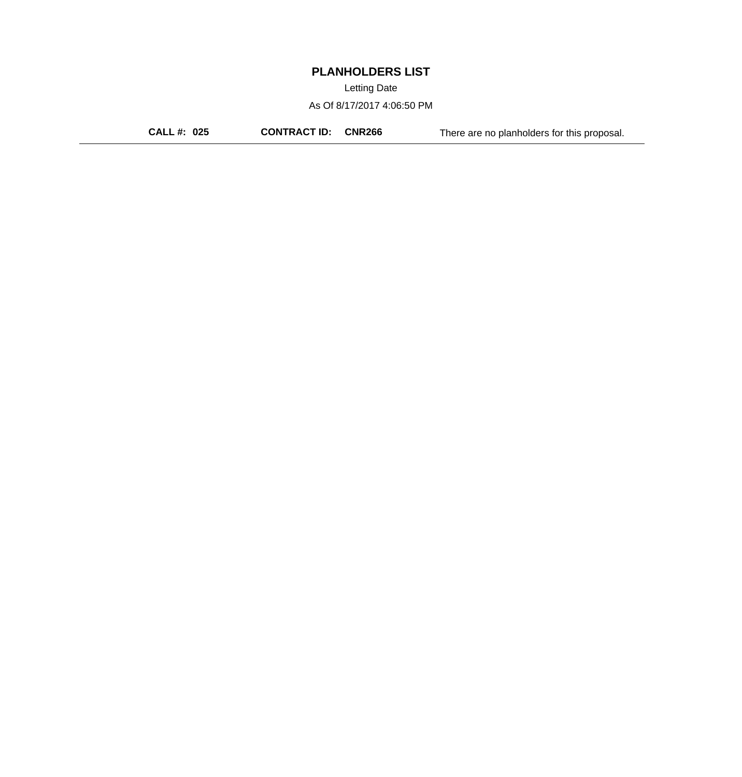Letting Date

As Of 8/17/2017 4:06:50 PM

**CALL #: 025 CONTRACT ID: CNR266** There are no planholders for this proposal.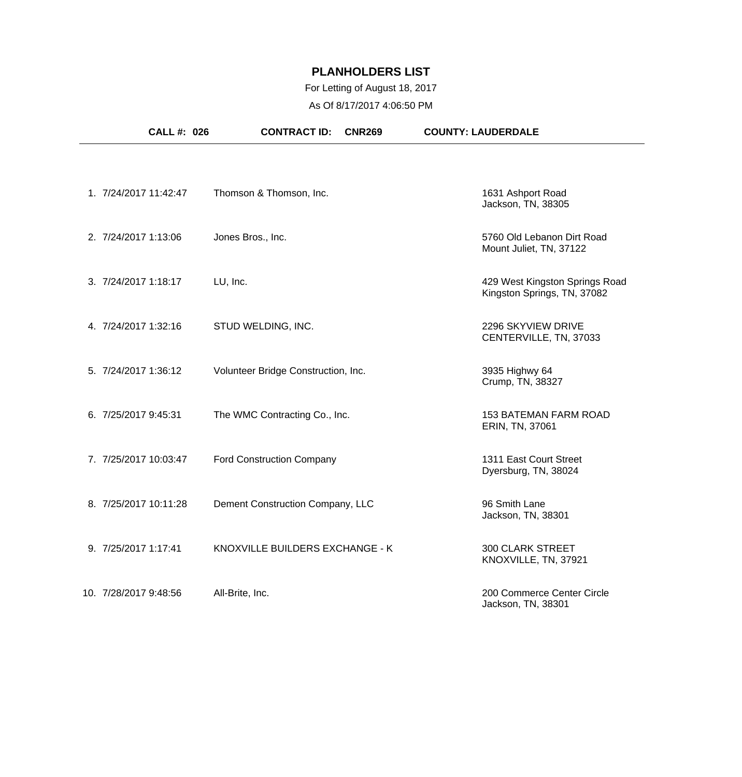## For Letting of August 18, 2017

As Of 8/17/2017 4:06:50 PM

| <b>CALL #: 026</b>    | <b>CONTRACT ID:</b><br><b>CNR269</b> | <b>COUNTY: LAUDERDALE</b>                                     |
|-----------------------|--------------------------------------|---------------------------------------------------------------|
|                       |                                      |                                                               |
| 1. 7/24/2017 11:42:47 | Thomson & Thomson, Inc.              | 1631 Ashport Road<br>Jackson, TN, 38305                       |
| 2. 7/24/2017 1:13:06  | Jones Bros., Inc.                    | 5760 Old Lebanon Dirt Road<br>Mount Juliet, TN, 37122         |
| 3. 7/24/2017 1:18:17  | LU, Inc.                             | 429 West Kingston Springs Road<br>Kingston Springs, TN, 37082 |
| 4. 7/24/2017 1:32:16  | STUD WELDING, INC.                   | 2296 SKYVIEW DRIVE<br>CENTERVILLE, TN, 37033                  |
| 5. 7/24/2017 1:36:12  | Volunteer Bridge Construction, Inc.  | 3935 Highwy 64<br>Crump, TN, 38327                            |
| 6. 7/25/2017 9:45:31  | The WMC Contracting Co., Inc.        | <b>153 BATEMAN FARM ROAD</b><br>ERIN, TN, 37061               |
| 7. 7/25/2017 10:03:47 | <b>Ford Construction Company</b>     | 1311 East Court Street<br>Dyersburg, TN, 38024                |
| 8. 7/25/2017 10:11:28 | Dement Construction Company, LLC     | 96 Smith Lane<br>Jackson, TN, 38301                           |
| 9. 7/25/2017 1:17:41  | KNOXVILLE BUILDERS EXCHANGE - K      | 300 CLARK STREET<br>KNOXVILLE, TN, 37921                      |
| 10. 7/28/2017 9:48:56 | All-Brite, Inc.                      | 200 Commerce Center Circle<br>Jackson, TN, 38301              |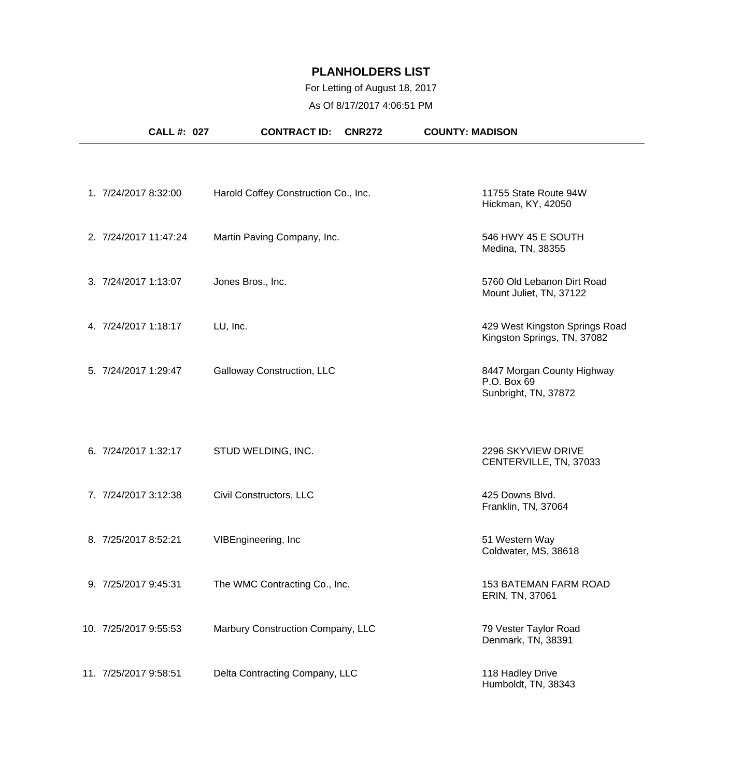## For Letting of August 18, 2017

As Of 8/17/2017 4:06:51 PM

| <b>CALL #: 027</b>    | <b>CONTRACT ID:</b><br><b>CNR272</b> | <b>COUNTY: MADISON</b>                                            |
|-----------------------|--------------------------------------|-------------------------------------------------------------------|
|                       |                                      |                                                                   |
| 1. 7/24/2017 8:32:00  | Harold Coffey Construction Co., Inc. | 11755 State Route 94W<br>Hickman, KY, 42050                       |
| 2. 7/24/2017 11:47:24 | Martin Paving Company, Inc.          | 546 HWY 45 E SOUTH<br>Medina, TN, 38355                           |
| 3. 7/24/2017 1:13:07  | Jones Bros., Inc.                    | 5760 Old Lebanon Dirt Road<br>Mount Juliet, TN, 37122             |
| 4. 7/24/2017 1:18:17  | LU, Inc.                             | 429 West Kingston Springs Road<br>Kingston Springs, TN, 37082     |
| 5. 7/24/2017 1:29:47  | Galloway Construction, LLC           | 8447 Morgan County Highway<br>P.O. Box 69<br>Sunbright, TN, 37872 |
| 6. 7/24/2017 1:32:17  | STUD WELDING, INC.                   | 2296 SKYVIEW DRIVE<br>CENTERVILLE, TN, 37033                      |
| 7. 7/24/2017 3:12:38  | Civil Constructors, LLC              | 425 Downs Blvd.<br>Franklin, TN, 37064                            |
| 8. 7/25/2017 8:52:21  | VIBEngineering, Inc                  | 51 Western Way<br>Coldwater, MS, 38618                            |
| 9. 7/25/2017 9:45:31  | The WMC Contracting Co., Inc.        | <b>153 BATEMAN FARM ROAD</b><br>ERIN, TN, 37061                   |
| 10. 7/25/2017 9:55:53 | Marbury Construction Company, LLC    | 79 Vester Taylor Road<br>Denmark, TN, 38391                       |
| 11. 7/25/2017 9:58:51 | Delta Contracting Company, LLC       | 118 Hadley Drive<br>Humboldt, TN, 38343                           |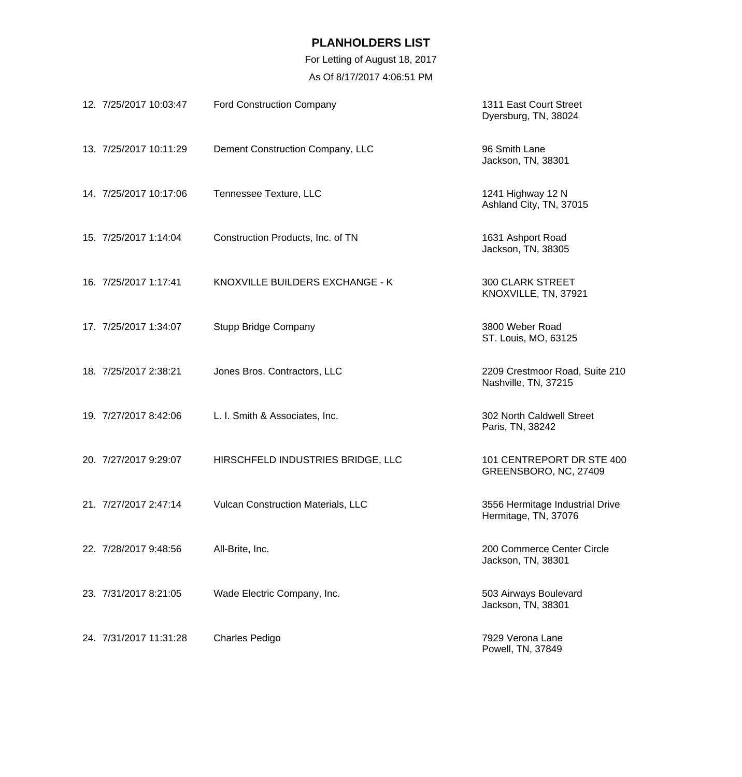| 12. 7/25/2017 10:03:47 | <b>Ford Construction Company</b>   | 1311 East Court Street<br>Dyersburg, TN, 38024          |
|------------------------|------------------------------------|---------------------------------------------------------|
| 13. 7/25/2017 10:11:29 | Dement Construction Company, LLC   | 96 Smith Lane<br>Jackson, TN, 38301                     |
| 14. 7/25/2017 10:17:06 | Tennessee Texture, LLC             | 1241 Highway 12 N<br>Ashland City, TN, 37015            |
| 15. 7/25/2017 1:14:04  | Construction Products, Inc. of TN  | 1631 Ashport Road<br>Jackson, TN, 38305                 |
| 16. 7/25/2017 1:17:41  | KNOXVILLE BUILDERS EXCHANGE - K    | <b>300 CLARK STREET</b><br>KNOXVILLE, TN, 37921         |
| 17. 7/25/2017 1:34:07  | <b>Stupp Bridge Company</b>        | 3800 Weber Road<br>ST. Louis, MO, 63125                 |
| 18. 7/25/2017 2:38:21  | Jones Bros. Contractors, LLC       | 2209 Crestmoor Road, Suite 210<br>Nashville, TN, 37215  |
| 19. 7/27/2017 8:42:06  | L. I. Smith & Associates, Inc.     | 302 North Caldwell Street<br>Paris, TN, 38242           |
| 20. 7/27/2017 9:29:07  | HIRSCHFELD INDUSTRIES BRIDGE, LLC  | 101 CENTREPORT DR STE 400<br>GREENSBORO, NC, 27409      |
| 21. 7/27/2017 2:47:14  | Vulcan Construction Materials, LLC | 3556 Hermitage Industrial Drive<br>Hermitage, TN, 37076 |
| 22. 7/28/2017 9:48:56  | All-Brite, Inc.                    | 200 Commerce Center Circle<br>Jackson, TN, 38301        |
| 23. 7/31/2017 8:21:05  | Wade Electric Company, Inc.        | 503 Airways Boulevard<br>Jackson, TN, 38301             |
| 24. 7/31/2017 11:31:28 | <b>Charles Pedigo</b>              | 7929 Verona Lane<br>Powell, TN, 37849                   |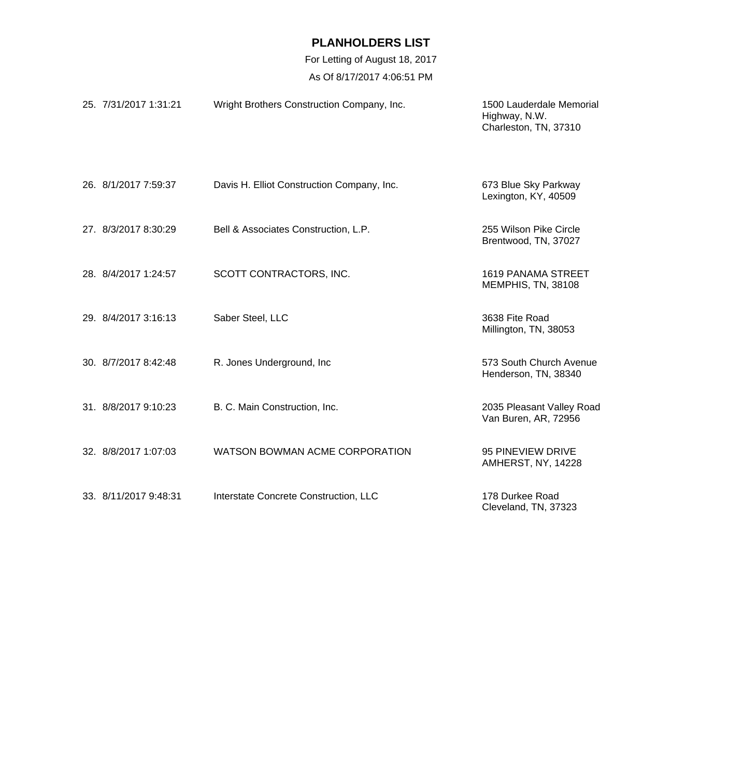| 25. 7/31/2017 1:31:21 | Wright Brothers Construction Company, Inc. | 1500 Lauderdale Memorial<br>Highway, N.W.<br>Charleston, TN, 37310 |
|-----------------------|--------------------------------------------|--------------------------------------------------------------------|
| 26. 8/1/2017 7:59:37  | Davis H. Elliot Construction Company, Inc. | 673 Blue Sky Parkway<br>Lexington, KY, 40509                       |
| 27. 8/3/2017 8:30:29  | Bell & Associates Construction, L.P.       | 255 Wilson Pike Circle<br>Brentwood, TN, 37027                     |
| 28. 8/4/2017 1:24:57  | SCOTT CONTRACTORS, INC.                    | <b>1619 PANAMA STREET</b><br>MEMPHIS, TN, 38108                    |
| 29. 8/4/2017 3:16:13  | Saber Steel, LLC                           | 3638 Fite Road<br>Millington, TN, 38053                            |
| 30. 8/7/2017 8:42:48  | R. Jones Underground, Inc.                 | 573 South Church Avenue<br>Henderson, TN, 38340                    |
| 31. 8/8/2017 9:10:23  | B. C. Main Construction, Inc.              | 2035 Pleasant Valley Road<br>Van Buren, AR, 72956                  |
| 32. 8/8/2017 1:07:03  | WATSON BOWMAN ACME CORPORATION             | 95 PINEVIEW DRIVE<br>AMHERST, NY, 14228                            |
| 33. 8/11/2017 9:48:31 | Interstate Concrete Construction, LLC      | 178 Durkee Road<br>Cleveland, TN, 37323                            |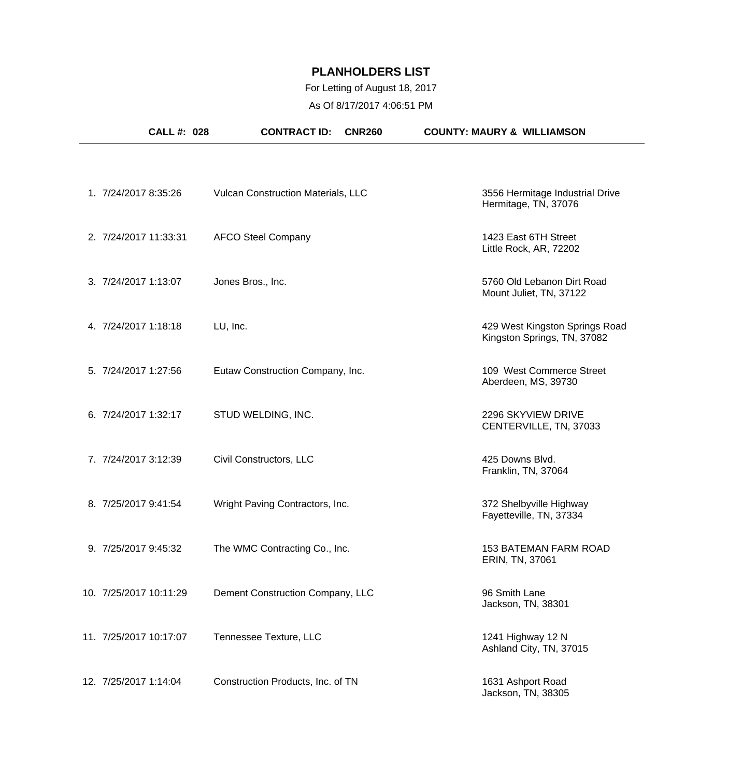# For Letting of August 18, 2017

As Of 8/17/2017 4:06:51 PM

|                        | <b>CALL #: 028</b> | <b>CONTRACT ID:</b>                       | <b>CNR260</b> | <b>COUNTY: MAURY &amp; WILLIAMSON</b>                         |
|------------------------|--------------------|-------------------------------------------|---------------|---------------------------------------------------------------|
|                        |                    |                                           |               |                                                               |
| 1. 7/24/2017 8:35:26   |                    | <b>Vulcan Construction Materials, LLC</b> |               | 3556 Hermitage Industrial Drive<br>Hermitage, TN, 37076       |
| 2. 7/24/2017 11:33:31  |                    | <b>AFCO Steel Company</b>                 |               | 1423 East 6TH Street<br>Little Rock, AR, 72202                |
| 3. 7/24/2017 1:13:07   |                    | Jones Bros., Inc.                         |               | 5760 Old Lebanon Dirt Road<br>Mount Juliet, TN, 37122         |
| 4. 7/24/2017 1:18:18   |                    | LU, Inc.                                  |               | 429 West Kingston Springs Road<br>Kingston Springs, TN, 37082 |
| 5. 7/24/2017 1:27:56   |                    | Eutaw Construction Company, Inc.          |               | 109 West Commerce Street<br>Aberdeen, MS, 39730               |
| 6. 7/24/2017 1:32:17   |                    | STUD WELDING, INC.                        |               | 2296 SKYVIEW DRIVE<br>CENTERVILLE, TN, 37033                  |
| 7. 7/24/2017 3:12:39   |                    | Civil Constructors, LLC                   |               | 425 Downs Blvd.<br>Franklin, TN, 37064                        |
| 8. 7/25/2017 9:41:54   |                    | Wright Paving Contractors, Inc.           |               | 372 Shelbyville Highway<br>Fayetteville, TN, 37334            |
| 9. 7/25/2017 9:45:32   |                    | The WMC Contracting Co., Inc.             |               | <b>153 BATEMAN FARM ROAD</b><br>ERIN, TN, 37061               |
| 10. 7/25/2017 10:11:29 |                    | Dement Construction Company, LLC          |               | 96 Smith Lane<br>Jackson, TN, 38301                           |
| 11. 7/25/2017 10:17:07 |                    | Tennessee Texture, LLC                    |               | 1241 Highway 12 N<br>Ashland City, TN, 37015                  |
| 12. 7/25/2017 1:14:04  |                    | Construction Products, Inc. of TN         |               | 1631 Ashport Road<br>Jackson, TN, 38305                       |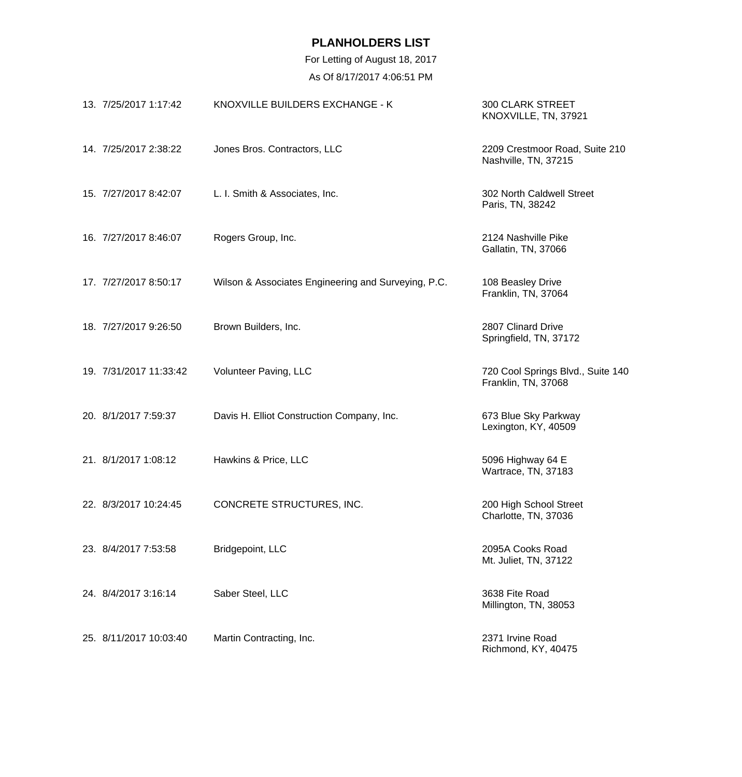| 13. 7/25/2017 1:17:42  | KNOXVILLE BUILDERS EXCHANGE - K                     | <b>300 CLARK STREET</b><br>KNOXVILLE, TN, 37921          |
|------------------------|-----------------------------------------------------|----------------------------------------------------------|
| 14. 7/25/2017 2:38:22  | Jones Bros. Contractors, LLC                        | 2209 Crestmoor Road, Suite 210<br>Nashville, TN, 37215   |
| 15. 7/27/2017 8:42:07  | L. I. Smith & Associates, Inc.                      | 302 North Caldwell Street<br>Paris, TN, 38242            |
| 16. 7/27/2017 8:46:07  | Rogers Group, Inc.                                  | 2124 Nashville Pike<br>Gallatin, TN, 37066               |
| 17. 7/27/2017 8:50:17  | Wilson & Associates Engineering and Surveying, P.C. | 108 Beasley Drive<br>Franklin, TN, 37064                 |
| 18. 7/27/2017 9:26:50  | Brown Builders, Inc.                                | 2807 Clinard Drive<br>Springfield, TN, 37172             |
| 19. 7/31/2017 11:33:42 | Volunteer Paving, LLC                               | 720 Cool Springs Blvd., Suite 140<br>Franklin, TN, 37068 |
| 20. 8/1/2017 7:59:37   | Davis H. Elliot Construction Company, Inc.          | 673 Blue Sky Parkway<br>Lexington, KY, 40509             |
| 21. 8/1/2017 1:08:12   | Hawkins & Price, LLC                                | 5096 Highway 64 E<br>Wartrace, TN, 37183                 |
| 22. 8/3/2017 10:24:45  | CONCRETE STRUCTURES, INC.                           | 200 High School Street<br>Charlotte, TN, 37036           |
| 23. 8/4/2017 7:53:58   | Bridgepoint, LLC                                    | 2095A Cooks Road<br>Mt. Juliet, TN, 37122                |
| 24. 8/4/2017 3:16:14   | Saber Steel, LLC                                    | 3638 Fite Road<br>Millington, TN, 38053                  |
| 25. 8/11/2017 10:03:40 | Martin Contracting, Inc.                            | 2371 Irvine Road<br>Richmond, KY, 40475                  |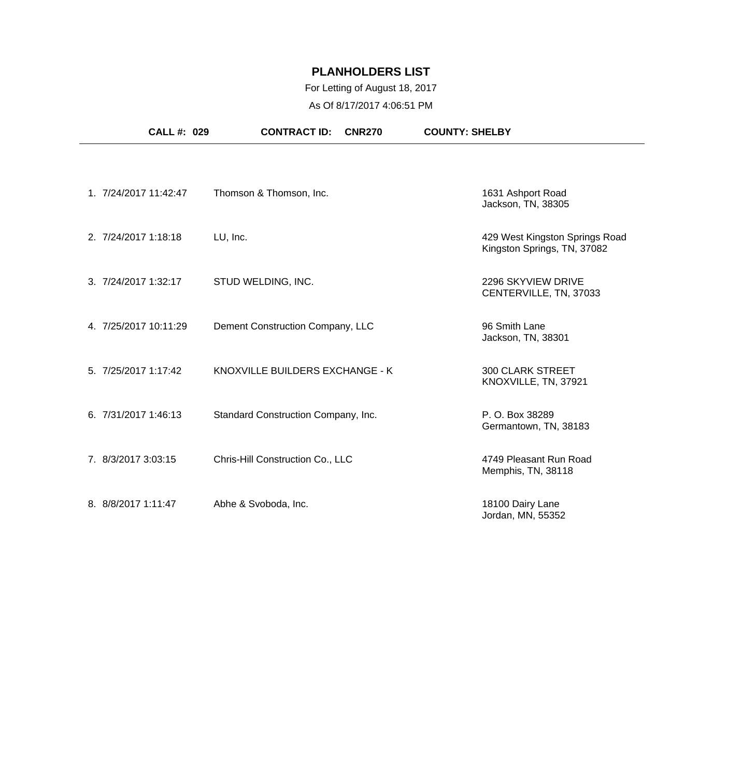## For Letting of August 18, 2017

As Of 8/17/2017 4:06:51 PM

|                      | CALL #: 029           | <b>CONTRACT ID:</b><br><b>CNR270</b> | <b>COUNTY: SHELBY</b>                                         |
|----------------------|-----------------------|--------------------------------------|---------------------------------------------------------------|
|                      |                       |                                      |                                                               |
|                      | 1. 7/24/2017 11:42:47 | Thomson & Thomson, Inc.              | 1631 Ashport Road<br>Jackson, TN, 38305                       |
| 2. 7/24/2017 1:18:18 |                       | LU, Inc.                             | 429 West Kingston Springs Road<br>Kingston Springs, TN, 37082 |
| 3. 7/24/2017 1:32:17 |                       | STUD WELDING, INC.                   | 2296 SKYVIEW DRIVE<br>CENTERVILLE, TN, 37033                  |
|                      | 4.7/25/2017 10:11:29  | Dement Construction Company, LLC     | 96 Smith Lane<br>Jackson, TN, 38301                           |
| 5. 7/25/2017 1:17:42 |                       | KNOXVILLE BUILDERS EXCHANGE - K      | <b>300 CLARK STREET</b><br>KNOXVILLE, TN, 37921               |
| 6. 7/31/2017 1:46:13 |                       | Standard Construction Company, Inc.  | P. O. Box 38289<br>Germantown, TN, 38183                      |
| 7. 8/3/2017 3:03:15  |                       | Chris-Hill Construction Co., LLC     | 4749 Pleasant Run Road<br>Memphis, TN, 38118                  |
| 8. 8/8/2017 1:11:47  |                       | Abhe & Svoboda, Inc.                 | 18100 Dairy Lane<br>Jordan, MN, 55352                         |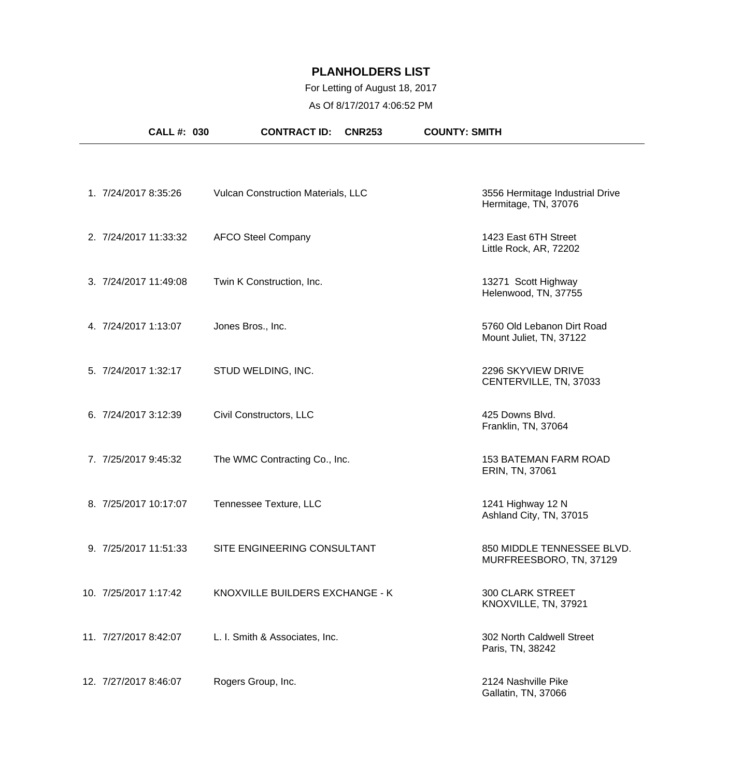## For Letting of August 18, 2017

As Of 8/17/2017 4:06:52 PM

|                       | CALL #: 030 | <b>CONTRACT ID:</b>                       | <b>CNR253</b> | <b>COUNTY: SMITH</b>                                    |  |
|-----------------------|-------------|-------------------------------------------|---------------|---------------------------------------------------------|--|
|                       |             |                                           |               |                                                         |  |
| 1. 7/24/2017 8:35:26  |             | <b>Vulcan Construction Materials, LLC</b> |               | 3556 Hermitage Industrial Drive<br>Hermitage, TN, 37076 |  |
| 2. 7/24/2017 11:33:32 |             | <b>AFCO Steel Company</b>                 |               | 1423 East 6TH Street<br>Little Rock, AR, 72202          |  |
| 3. 7/24/2017 11:49:08 |             | Twin K Construction, Inc.                 |               | 13271 Scott Highway<br>Helenwood, TN, 37755             |  |
| 4. 7/24/2017 1:13:07  |             | Jones Bros., Inc.                         |               | 5760 Old Lebanon Dirt Road<br>Mount Juliet, TN, 37122   |  |
| 5. 7/24/2017 1:32:17  |             | STUD WELDING, INC.                        |               | 2296 SKYVIEW DRIVE<br>CENTERVILLE, TN, 37033            |  |
| 6. 7/24/2017 3:12:39  |             | Civil Constructors, LLC                   |               | 425 Downs Blvd.<br>Franklin, TN, 37064                  |  |
| 7. 7/25/2017 9:45:32  |             | The WMC Contracting Co., Inc.             |               | <b>153 BATEMAN FARM ROAD</b><br>ERIN, TN, 37061         |  |
| 8. 7/25/2017 10:17:07 |             | Tennessee Texture, LLC                    |               | 1241 Highway 12 N<br>Ashland City, TN, 37015            |  |
| 9. 7/25/2017 11:51:33 |             | SITE ENGINEERING CONSULTANT               |               | 850 MIDDLE TENNESSEE BLVD.<br>MURFREESBORO, TN, 37129   |  |
| 10. 7/25/2017 1:17:42 |             | KNOXVILLE BUILDERS EXCHANGE - K           |               | <b>300 CLARK STREET</b><br>KNOXVILLE, TN, 37921         |  |
| 11. 7/27/2017 8:42:07 |             | L. I. Smith & Associates, Inc.            |               | 302 North Caldwell Street<br>Paris, TN, 38242           |  |
| 12. 7/27/2017 8:46:07 |             | Rogers Group, Inc.                        |               | 2124 Nashville Pike<br>Gallatin, TN, 37066              |  |